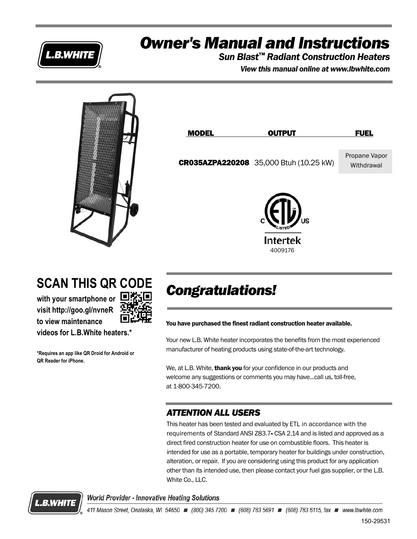

## *Owner's Manual and Instructions*

*Sun Blast™ Radiant Construction Heaters*

*View this manual online at www.lbwhite.com*



## **SCAN THIS QR CODE**

**with your smartphone or visit http://goo.gl/nvneR to view maintenance**

**QR Reader for iPhone.**

**videos for L.B.White heaters.\***

**\*Requires an app like QR Droid for Android or** 



## *Congratulations!*

You have purchased the finest radiant construction heater available.

Your new L.B. White heater incorporates the benefits from the most experienced manufacturer of heating products using state-of-the-art technology.

We, at L.B. White, **thank you** for your confidence in our products and welcome any suggestions or comments you may have...call us, toll-free, at 1-800-345-7200.

### *ATTENTION ALL USERS*

This heater has been tested and evaluated by ETL in accordance with the requirements of Standard ANSI Z83.7- CSA 2.14 and is listed and approved as a direct fired construction heater for use on combustible floors. This heater is intended for use as a portable, temporary heater for buildings under construction, alteration, or repair. If you are considering using this product for any application other than its intended use, then please contact your fuel gas supplier, or the L.B. White Co., LLC.



**World Provider - Innovative Heating Solutions**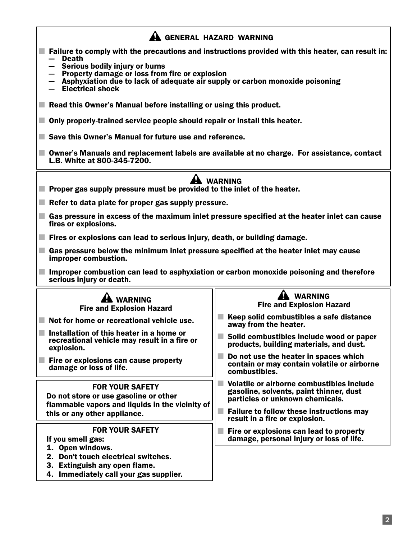### A GENERAL HAZARD WARNING

- Failure to comply with the precautions and instructions provided with this heater, can result in: **Death** 
	- Serious bodily injury or burns
	- Property damage or loss from fire or explosion
	- Asphyxiation due to lack of adequate air supply or carbon monoxide poisoning
	- Electrical shock
- Read this Owner's Manual before installing or using this product.
- Only properly-trained service people should repair or install this heater.
- Save this Owner's Manual for future use and reference.
- Owner's Manuals and replacement labels are available at no charge. For assistance, contact L.B. White at 800-345-7200.

### **A** WARNING

- Proper gas supply pressure must be provided to the inlet of the heater.
- $\blacksquare$  Refer to data plate for proper gas supply pressure.
- Gas pressure in excess of the maximum inlet pressure specified at the heater inlet can cause fires or explosions.
- Fires or explosions can lead to serious injury, death, or building damage.
- Gas pressure below the minimum inlet pressure specified at the heater inlet may cause improper combustion.
- Improper combustion can lead to asphyxiation or carbon monoxide poisoning and therefore serious injury or death.

| <b>WARNING</b><br><b>Fire and Explosion Hazard</b>                                                                                                 | <b>WARNING</b><br><b>Fire and Explosion Hazard</b><br>Keep solid combustibles a safe distance                           |
|----------------------------------------------------------------------------------------------------------------------------------------------------|-------------------------------------------------------------------------------------------------------------------------|
| Not for home or recreational vehicle use.                                                                                                          | away from the heater.                                                                                                   |
| Installation of this heater in a home or<br>recreational vehicle may result in a fire or<br>explosion.                                             | Solid combustibles include wood or paper<br>products, building materials, and dust.                                     |
| Fire or explosions can cause property<br>damage or loss of life.                                                                                   | Do not use the heater in spaces which<br>contain or may contain volatile or airborne<br>combustibles.                   |
| <b>FOR YOUR SAFETY</b><br>Do not store or use gasoline or other<br>flammable vapors and liquids in the vicinity of<br>this or any other appliance. | Volatile or airborne combustibles include<br>gasoline, solvents, paint thinner, dust<br>particles or unknown chemicals. |
|                                                                                                                                                    | <b>Failure to follow these instructions may</b><br>result in a fire or explosion.                                       |
| <b>FOR YOUR SAFETY</b><br>If you smell gas:                                                                                                        | Fire or explosions can lead to property<br>damage, personal injury or loss of life.                                     |
| 1. Open windows.<br>Don't touch electrical switches.                                                                                               |                                                                                                                         |
| Extinguish any open flame.<br>З.                                                                                                                   |                                                                                                                         |
| 4. Immediately call your gas supplier.                                                                                                             |                                                                                                                         |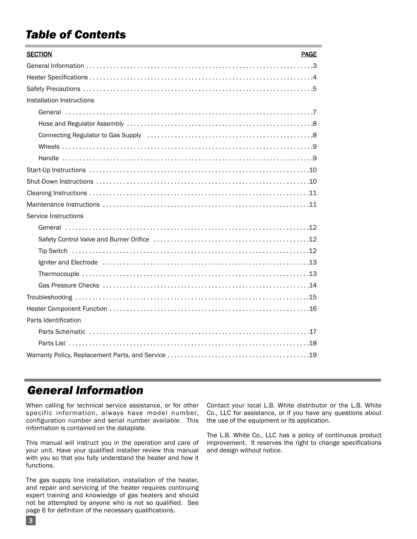## *Table of Contents*

| <b>SECTION</b><br><b>PAGE</b>                                                                                           |
|-------------------------------------------------------------------------------------------------------------------------|
|                                                                                                                         |
|                                                                                                                         |
|                                                                                                                         |
| Installation Instructions                                                                                               |
|                                                                                                                         |
|                                                                                                                         |
| Connecting Regulator to Gas Supply (and according connecting Regulator to Gas Supply (and according connection of $8$ ) |
|                                                                                                                         |
|                                                                                                                         |
|                                                                                                                         |
|                                                                                                                         |
|                                                                                                                         |
|                                                                                                                         |
| Service Instructions                                                                                                    |
|                                                                                                                         |
|                                                                                                                         |
|                                                                                                                         |
|                                                                                                                         |
|                                                                                                                         |
|                                                                                                                         |
|                                                                                                                         |
|                                                                                                                         |
| Parts Identification                                                                                                    |
|                                                                                                                         |
|                                                                                                                         |
|                                                                                                                         |

## *General Information*

3

When calling for technical service assistance, or for other specific information, always have model number, configuration number and serial number available. This information is contained on the dataplate.

This manual will instruct you in the operation and care of your unit. Have your qualified installer review this manual with you so that you fully understand the heater and how it functions.

The gas supply line installation, installation of the heater, and repair and servicing of the heater requires continuing expert training and knowledge of gas heaters and should not be attempted by anyone who is not so qualified. See page 6 for definition of the necessary qualifications.

Contact your local L.B. White distributor or the L.B. White Co., LLC for assistance, or if you have any questions about the use of the equipment or its application.

The L.B. White Co., LLC has a policy of continuous product improvement. It reserves the right to change specifications and design without notice.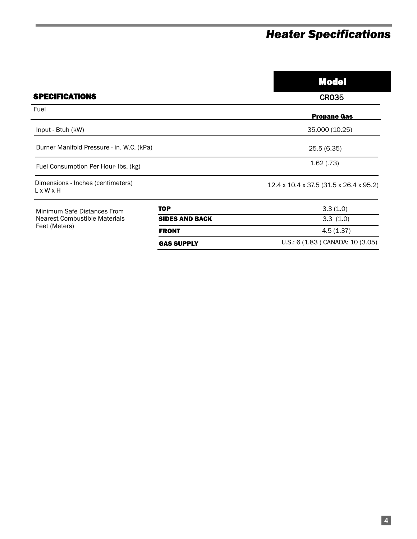## *Heater Specifications*

|                                                                               |                       | <b>Model</b>                            |
|-------------------------------------------------------------------------------|-----------------------|-----------------------------------------|
| <b>SPECIFICATIONS</b>                                                         |                       | <b>CR035</b>                            |
| Fuel                                                                          |                       | <b>Propane Gas</b>                      |
| Input - Btuh (kW)                                                             |                       | 35,000 (10.25)                          |
| Burner Manifold Pressure - in. W.C. (kPa)                                     |                       | 25.5(6.35)                              |
| Fuel Consumption Per Hour-Ibs. (kg)                                           |                       | 1.62(.73)                               |
| Dimensions - Inches (centimeters)<br>$L \times W \times H$                    |                       | 12.4 x 10.4 x 37.5 (31.5 x 26.4 x 95.2) |
| Minimum Safe Distances From<br>Nearest Combustible Materials<br>Feet (Meters) | <b>TOP</b>            | 3.3(1.0)                                |
|                                                                               | <b>SIDES AND BACK</b> | 3.3(1.0)                                |
|                                                                               | <b>FRONT</b>          | 4.5(1.37)                               |
|                                                                               | <b>GAS SUPPLY</b>     | U.S.: 6 (1.83) CANADA: 10 (3.05)        |

GAS SUPPLY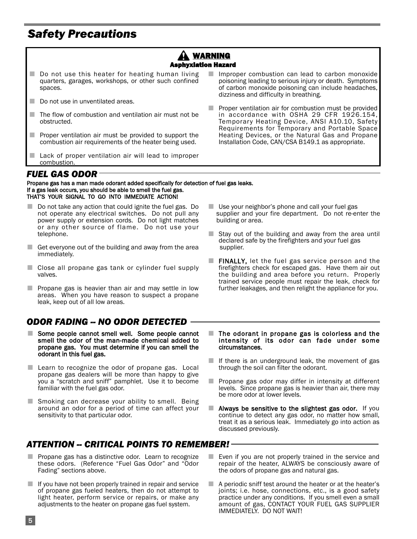## *Safety Precautions*

#### **A WARNING** Asphyxiation Hazard

- Do not use this heater for heating human living quarters, garages, workshops, or other such confined spaces.
- Do not use in unventilated areas.
- The flow of combustion and ventilation air must not be obstructed.
- Proper ventilation air must be provided to support the combustion air requirements of the heater being used.
- Lack of proper ventilation air will lead to improper combustion.
- Improper combustion can lead to carbon monoxide poisoning leading to serious injury or death. Symptoms of carbon monoxide poisoning can include headaches, dizziness and difficulty in breathing.
- Proper ventilation air for combustion must be provided in accordance with OSHA 29 CFR 1926.154, Temporary Heating Device, ANSI A10.10, Safety Requirements for Temporary and Portable Space Heating Devices, or the Natural Gas and Propane Installation Code, CAN/CSA B149.1 as appropriate.

#### *FUEL GAS ODOR*

Propane gas has a man made odorant added specifically for detection of fuel gas leaks. If a gas leak occurs, you should be able to smell the fuel gas. THAT'S YOUR SIGNAL TO GO INTO IMMEDIATE ACTION!

- Do not take any action that could ignite the fuel gas. Do not operate any electrical switches. Do not pull any power supply or extension cords. Do not light matches or any other source of flame. Do not use your telephone.
- Get everyone out of the building and away from the area immediately.
- Close all propane gas tank or cylinder fuel supply valves.
- Propane gas is heavier than air and may settle in low areas. When you have reason to suspect a propane leak, keep out of all low areas.

#### *ODOR FADING -- NO ODOR DETECTED*

- Some people cannot smell well. Some people cannot smell the odor of the man-made chemical added to propane gas. You must determine if you can smell the odorant in this fuel gas.
- Learn to recognize the odor of propane gas. Local propane gas dealers will be more than happy to give you a "scratch and sniff" pamphlet. Use it to become familiar with the fuel gas odor.
- Smoking can decrease your ability to smell. Being around an odor for a period of time can affect your sensitivity to that particular odor.

### *ATTENTION -- CRITICAL POINTS TO REMEMBER!*

- Propane gas has a distinctive odor. Learn to recognize these odors. (Reference "Fuel Gas Odor" and "Odor Fading" sections above.
- If you have not been properly trained in repair and service of propane gas fueled heaters, then do not attempt to light heater, perform service or repairs, or make any adjustments to the heater on propane gas fuel system.
- Use your neighbor's phone and call your fuel gas supplier and your fire department. Do not re-enter the building or area.
- $\blacksquare$  Stay out of the building and away from the area until declared safe by the firefighters and your fuel gas supplier.
- FINALLY, let the fuel gas service person and the firefighters check for escaped gas. Have them air out the building and area before you return. Properly trained service people must repair the leak, check for further leakages, and then relight the appliance for you.
- $\blacksquare$  The odorant in propane gas is colorless and the intensity of its odor can fade under some circumstances.
- $\blacksquare$  If there is an underground leak, the movement of gas through the soil can filter the odorant.
- Propane gas odor may differ in intensity at different levels. Since propane gas is heavier than air, there may be more odor at lower levels.
- $\blacksquare$  Always be sensitive to the slightest gas odor. If you continue to detect any gas odor, no matter how small, treat it as a serious leak. Immediately go into action as discussed previously.
- Even if you are not properly trained in the service and repair of the heater, ALWAYS be consciously aware of the odors of propane gas and natural gas.
- A periodic sniff test around the heater or at the heater's joints; i.e. hose, connections, etc., is a good safety practice under any conditions. If you smell even a small amount of gas, CONTACT YOUR FUEL GAS SUPPLIER IMMEDIATELY. DO NOT WAIT!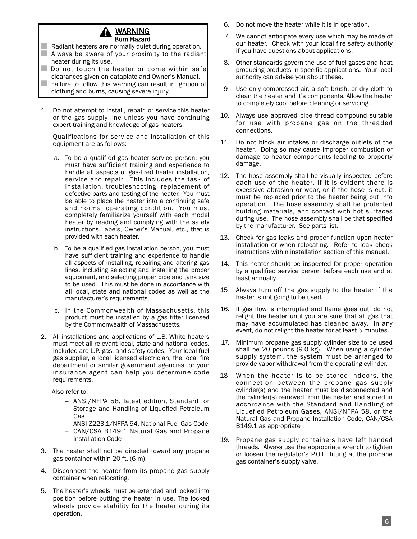

- $\Box$  Radiant heaters are normally quiet during operation.  $\blacksquare$  Always be aware of your proximity to the radiant heater during its use.
- Do not touch the heater or come within safe clearances given on dataplate and Owner's Manual.
- Failure to follow this warning can result in ignition of clothing and burns, causing severe injury.
- 1. Do not attempt to install, repair, or service this heater or the gas supply line unless you have continuing expert training and knowledge of gas heaters.

Qualifications for service and installation of this equipment are as follows:

- a. To be a qualified gas heater service person, you must have sufficient training and experience to handle all aspects of gas-fired heater installation, service and repair. This includes the task of installation, troubleshooting, replacement of defective parts and testing of the heater. You must be able to place the heater into a continuing safe and normal operating condition. You must completely familiarize yourself with each model heater by reading and complying with the safety instructions, labels, Owner's Manual, etc., that is provided with each heater.
- b. To be a qualified gas installation person, you must have sufficient training and experience to handle all aspects of installing, repairing and altering gas lines, including selecting and installing the proper equipment, and selecting proper pipe and tank size to be used. This must be done in accordance with all local, state and national codes as well as the manufacturer's requirements.
- c. In the Commonwealth of Massachusetts, this product must be installed by a gas fitter licensed by the Commonwealth of Massachusetts.
- 2. All installations and applications of L.B. White heaters must meet all relevant local, state and national codes. Included are L.P. gas, and safety codes. Your local fuel gas supplier, a local licensed electrician, the local fire department or similar government agencies, or your insurance agent can help you determine code requirements.

Also refer to:

- -- ANSI/NFPA 58, latest edition, Standard for Storage and Handling of Liquefied Petroleum Gas
- ANSI Z223.1/NFPA 54, National Fuel Gas Code
- CAN/CSA B149.1 Natural Gas and Propane Installation Code
- 3. The heater shall not be directed toward any propane gas container within 20 ft. (6 m).
- 4. Disconnect the heater from its propane gas supply container when relocating.
- 5. The heater's wheels must be extended and locked into position before putting the heater in use. The locked wheels provide stability for the heater during its operation.
- 6. Do not move the heater while it is in operation.
- 7. We cannot anticipate every use which may be made of our heater. Check with your local fire safety authority if you have questions about applications.
- 8. Other standards govern the use of fuel gases and heat producing products in specific applications. Your local authority can advise you about these.
- 9 Use only compressed air, a soft brush, or dry cloth to clean the heater and it's components. Allow the heater to completely cool before cleaning or servicing.
- 10. Always use approved pipe thread compound suitable for use with propane gas on the threaded connections.
- 11. Do not block air intakes or discharge outlets of the heater. Doing so may cause improper combustion or damage to heater components leading to property damage.
- 12. The hose assembly shall be visually inspected before each use of the heater. If it is evident there is excessive abrasion or wear, or if the hose is cut, it must be replaced prior to the heater being put into operation. The hose assembly shall be protected building materials, and contact with hot surfaces during use. The hose assembly shall be that specified by the manufacturer. See parts list.
- 13. Check for gas leaks and proper function upon heater installation or when relocating. Refer to leak check instructions within installation section of this manual.
- 14. This heater should be inspected for proper operation by a qualified service person before each use and at least annually.
- 15 Always turn off the gas supply to the heater if the heater is not going to be used.
- 16. If gas flow is interrupted and flame goes out, do not relight the heater until you are sure that all gas that may have accumulated has cleaned away. In any event, do not relight the heater for at least 5 minutes.
- 17. Minimum propane gas supply cylinder size to be used shall be 20 pounds (9.0 kg). When using a cylinder supply system, the system must be arranged to provide vapor withdrawal from the operating cylinder.
- 18 When the heater is to be stored indoors, the connection between the propane gas supply cylinder(s) and the heater must be disconnected and the cylinder(s) removed from the heater and stored in accordance with the Standard and Handling of Liquefied Petroleum Gases, ANSI/NFPA 58, or the Natural Gas and Propane Installation Code, CAN/CSA B149.1 as appropriate .
- 19. Propane gas supply containers have left handed threads. Always use the appropriate wrench to tighten or loosen the regulator's P.O.L. fitting at the propane gas container's supply valve.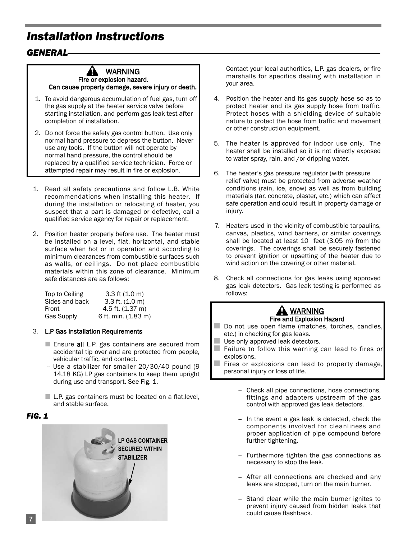## *Installation Instructions*

#### *GENERAL*

#### 41 WARNING Fire or explosion hazard.

Can cause property damage, severe injury or death.

- 1. To avoid dangerous accumulation of fuel gas, turn off the gas supply at the heater service valve before starting installation, and perform gas leak test after completion of installation.
- 2. Do not force the safety gas control button. Use only normal hand pressure to depress the button. Never use any tools. If the button will not operate by normal hand pressure, the control should be replaced by a qualified service technician. Force or attempted repair may result in fire or explosion.
- 1. Read all safety precautions and follow L.B. White recommendations when installing this heater. If during the installation or relocating of heater, you suspect that a part is damaged or defective, call a qualified service agency for repair or replacement.
- 2. Position heater properly before use. The heater must be installed on a level, flat, horizontal, and stable surface when hot or in operation and according to minimum clearances from combustible surfaces such as walls, or ceilings. Do not place combustible materials within this zone of clearance. Minimum safe distances are as follows:

| Top to Ceiling    | $3.3$ ft $(1.0 \text{ m})$  |
|-------------------|-----------------------------|
| Sides and back    | $3.3$ ft. $(1.0 \text{ m})$ |
| Front             | 4.5 ft. (1.37 m)            |
| <b>Gas Supply</b> | 6 ft. min. (1.83 m)         |

#### 3. L.P Gas Installation Requirements

- Ensure all L.P. gas containers are secured from accidental tip over and are protected from people, vehicular traffic, and contact.
- -- Use a stabilizer for smaller 20/30/40 pound (9 14,18 KG) LP gas containers to keep them upright during use and transport. See Fig. 1.
- L.P. gas containers must be located on a flat, level, and stable surface.

#### *FIG. 1*



Contact your local authorities, L.P. gas dealers, or fire marshalls for specifics dealing with installation in your area.

- 4. Position the heater and its gas supply hose so as to protect heater and its gas supply hose from traffic. Protect hoses with a shielding device of suitable nature to protect the hose from traffic and movement or other construction equipment.
- 5. The heater is approved for indoor use only. The heater shall be installed so it is not directly exposed to water spray, rain, and /or dripping water.
- 6. The heater's gas pressure regulator (with pressure relief valve) must be protected from adverse weather conditions (rain, ice, snow) as well as from building materials (tar, concrete, plaster, etc.) which can affect safe operation and could result in property damage or injury.
- 7. Heaters used in the vicinity of combustible tarpaulins, canvas, plastics, wind barriers, or similar coverings shall be located at least 10 feet (3.05 m) from the coverings. The coverings shall be securely fastened to prevent ignition or upsetting of the heater due to wind action on the covering or other material.
- 8. Check all connections for gas leaks using approved gas leak detectors. Gas leak testing is performed as follows:



- Do not use open flame (matches, torches, candles, etc.) in checking for gas leaks.
- $\blacksquare$  Use only approved leak detectors.<br>
Failure to follow this warning
- Failure to follow this warning can lead to fires or explosions.
- Fires or explosions can lead to property damage, personal injury or loss of life.
	- -- Check all pipe connections, hose connections, fittings and adapters upstream of the gas control with approved gas leak detectors.
	- -- In the event a gas leak is detected, check the components involved for cleanliness and proper application of pipe compound before further tightening.
	- -- Furthermore tighten the gas connections as necessary to stop the leak.
	- After all connections are checked and any leaks are stopped, turn on the main burner.
	- -- Stand clear while the main burner ignites to prevent injury caused from hidden leaks that could cause flashback.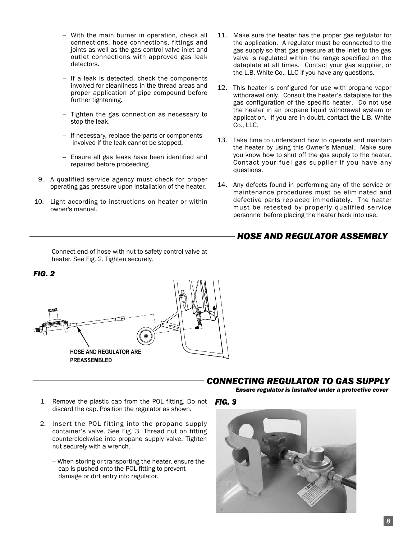- -- With the main burner in operation, check all connections, hose connections, fittings and joints as well as the gas control valve inlet and outlet connections with approved gas leak detectors.
- -- If a leak is detected, check the components involved for cleanliness in the thread areas and proper application of pipe compound before further tightening.
- -- Tighten the gas connection as necessary to stop the leak.
- -- If necessary, replace the parts or components involved if the leak cannot be stopped.
- -- Ensure all gas leaks have been identified and repaired before proceeding.
- 9. A qualified service agency must check for proper operating gas pressure upon installation of the heater.
- 10. Light according to instructions on heater or within owner's manual.
	- Connect end of hose with nut to safety control valve at heater. See Fig. 2. Tighten securely.

*FIG. 2*

- the application. A regulator must be connected to the gas supply so that gas pressure at the inlet to the gas valve is regulated within the range specified on the dataplate at all times. Contact your gas supplier, or the L.B. White Co., LLC if you have any questions.
	- 12. This heater is configured for use with propane vapor withdrawal only. Consult the heater's dataplate for the gas configuration of the specific heater. Do not use the heater in an propane liquid withdrawal system or application. If you are in doubt, contact the L.B. White Co., LLC.

11. Make sure the heater has the proper gas regulator for

- 13. Take time to understand how to operate and maintain the heater by using this Owner's Manual. Make sure you know how to shut off the gas supply to the heater. Contact your fuel gas supplier if you have any questions.
- 14. Any defects found in performing any of the service or maintenance procedures must be eliminated and defective parts replaced immediately. The heater must be retested by properly qualified service personnel before placing the heater back into use.

#### *HOSE AND REGULATOR ASSEMBLY*



#### *CONNECTING REGULATOR TO GAS SUPPLY*

*Ensure regulator is installed under a protective cover*

- 1. Remove the plastic cap from the POL fitting. Do not *FIG. 3* discard the cap. Position the regulator as shown.
- 2. Insert the POL fitting into the propane supply container's valve. See Fig. 3. Thread nut on fitting counterclockwise into propane supply valve. Tighten nut securely with a wrench.
	- -- When storing or transporting the heater, ensure the cap is pushed onto the POL fitting to prevent damage or dirt entry into regulator.

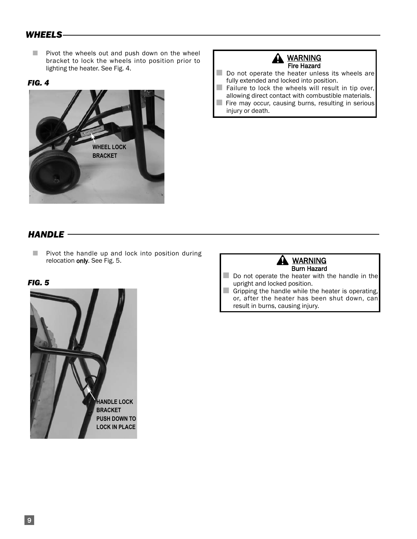### *WHEELS*

■ Pivot the wheels out and push down on the wheel bracket to lock the wheels into position prior to lighting the heater. See Fig. 4.

#### *FIG. 4*



#### **A** WARNING Fire Hazard

- Do not operate the heater unless its wheels are fully extended and locked into position.
- Failure to lock the wheels will result in tip over, allowing direct contact with combustible materials.
- Fire may occur, causing burns, resulting in serious injury or death.

### *HANDLE*

■ Pivot the handle up and lock into position during relocation only. See Fig. 5.

*FIG. 5*





- Do not operate the heater with the handle in the upright and locked position.
- Gripping the handle while the heater is operating, or, after the heater has been shut down, can result in burns, causing injury.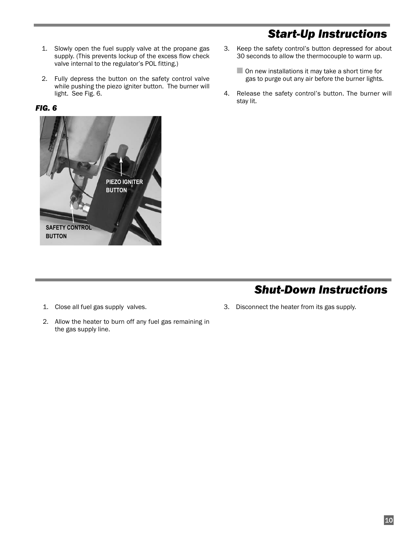## *Start-Up Instructions*

- 1. Slowly open the fuel supply valve at the propane gas supply. (This prevents lockup of the excess flow check valve internal to the regulator's POL fitting.)
- 2. Fully depress the button on the safety control valve while pushing the piezo igniter button. The burner will light. See Fig. 6.

#### *FIG. 6*



- 3. Keep the safety control's button depressed for about 30 seconds to allow the thermocouple to warm up.
	- $\Box$  On new installations it may take a short time for gas to purge out any air before the burner lights.
- 4. Release the safety control's button. The burner will stay lit.

## *Shut-Down Instructions*

- 1. Close all fuel gas supply valves.
- 2. Allow the heater to burn off any fuel gas remaining in the gas supply line.
- 3. Disconnect the heater from its gas supply.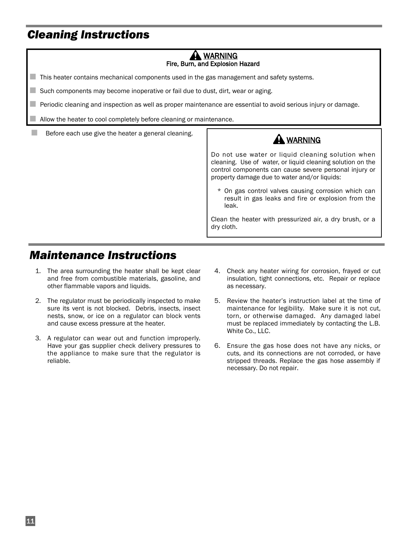## *Cleaning Instructions*

#### WARNING Fire, Burn, and Explosion Hazard

■ This heater contains mechanical components used in the gas management and safety systems.

■ Such components may become inoperative or fail due to dust, dirt, wear or aging.

■ Periodic cleaning and inspection as well as proper maintenance are essential to avoid serious injury or damage.

Allow the heater to cool completely before cleaning or maintenance.

**Before each use give the heater a general cleaning.** 

### A WARNING

Do not use water or liquid cleaning solution when cleaning. Use of water, or liquid cleaning solution on the control components can cause severe personal injury or property damage due to water and/or liquids:

\* On gas control valves causing corrosion which can result in gas leaks and fire or explosion from the leak.

Clean the heater with pressurized air, a dry brush, or a dry cloth.

## *Maintenance Instructions*

- 1. The area surrounding the heater shall be kept clear and free from combustible materials, gasoline, and other flammable vapors and liquids.
- 2. The regulator must be periodically inspected to make sure its vent is not blocked. Debris, insects, insect nests, snow, or ice on a regulator can block vents and cause excess pressure at the heater.
- 3. A regulator can wear out and function improperly. Have your gas supplier check delivery pressures to the appliance to make sure that the regulator is reliable.
- 4. Check any heater wiring for corrosion, frayed or cut insulation, tight connections, etc. Repair or replace as necessary.
- 5. Review the heater's instruction label at the time of maintenance for legibility. Make sure it is not cut, torn, or otherwise damaged. Any damaged label must be replaced immediately by contacting the L.B. White Co., LLC.
- 6. Ensure the gas hose does not have any nicks, or cuts, and its connections are not corroded, or have stripped threads. Replace the gas hose assembly if necessary. Do not repair.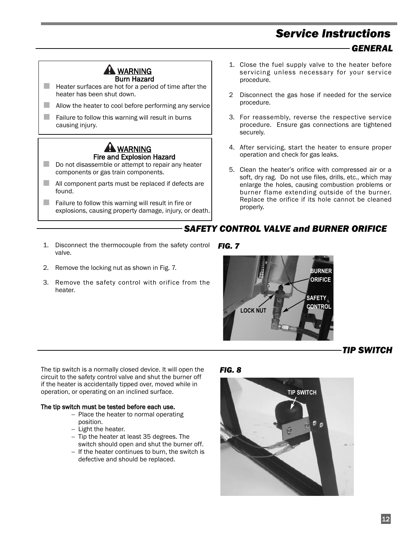## *Service Instructions GENERAL*



■ Heater surfaces are hot for a period of time after the heater has been shut down.

- $\Box$  Allow the heater to cool before performing any service
- $\Box$  Failure to follow this warning will result in burns causing injury.



- Do not disassemble or attempt to repair any heater components or gas train components.
- All component parts must be replaced if defects are found.
- $\Box$  Failure to follow this warning will result in fire or explosions, causing property damage, injury, or death.
- 1. Close the fuel supply valve to the heater before servicing unless necessary for your service procedure.
- 2 Disconnect the gas hose if needed for the service procedure.
- 3. For reassembly, reverse the respective service procedure. Ensure gas connections are tightened securely.
- 4. After servicing, start the heater to ensure proper operation and check for gas leaks.
- 5. Clean the heater's orifice with compressed air or a soft, dry rag. Do not use files, drills, etc., which may enlarge the holes, causing combustion problems or burner flame extending outside of the burner. Replace the orifice if its hole cannot be cleaned properly.

#### *SAFETY CONTROL VALVE and BURNER ORIFICE*

- 1. Disconnect the thermocouple from the safety control *FIG. 7* valve.
- 2. Remove the locking nut as shown in Fig. 7.
- 3. Remove the safety control with orifice from the heater.



#### *TIP SWITCH*

The tip switch is a normally closed device. It will open the circuit to the safety control valve and shut the burner off if the heater is accidentally tipped over, moved while in operation, or operating on an inclined surface.

#### The tip switch must be tested before each use.

- -- Place the heater to normal operating position.
- -- Light the heater.
- -- Tip the heater at least 35 degrees. The switch should open and shut the burner off.
- -- If the heater continues to burn, the switch is defective and should be replaced.

#### *FIG. 8*

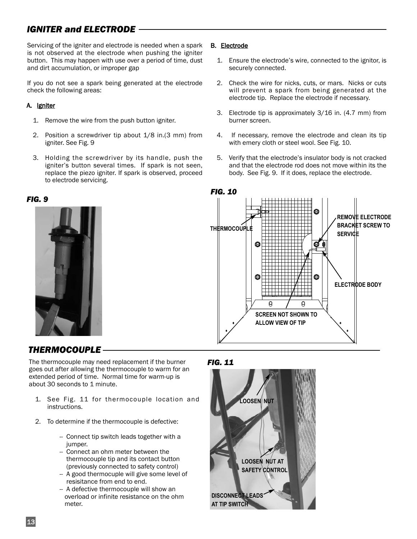### *IGNITER and ELECTRODE*

Servicing of the igniter and electrode is needed when a spark is not observed at the electrode when pushing the igniter button. This may happen with use over a period of time, dust and dirt accumulation, or improper gap

If you do not see a spark being generated at the electrode check the following areas:

#### A. Igniter

- 1. Remove the wire from the push button igniter.
- 2. Position a screwdriver tip about 1/8 in.(3 mm) from igniter. See Fig. 9
- 3. Holding the screwdriver by its handle, push the igniter's button several times. If spark is not seen, replace the piezo igniter. If spark is observed, proceed to electrode servicing.

#### *FIG. 9*



#### B. Electrode

- 1. Ensure the electrode's wire, connected to the ignitor, is securely connected.
- 2. Check the wire for nicks, cuts, or mars. Nicks or cuts will prevent a spark from being generated at the electrode tip. Replace the electrode if necessary.
- 3. Electrode tip is approximately 3/16 in. (4.7 mm) from burner screen.
- 4. If necessary, remove the electrode and clean its tip with emery cloth or steel wool. See Fig. 10.
- 5. Verify that the electrode's insulator body is not cracked and that the electrode rod does not move within its the body. See Fig. 9. If it does, replace the electrode.



### *THERMOCOUPLE*

The thermocouple may need replacement if the burner goes out after allowing the thermocouple to warm for an extended period of time. Normal time for warm-up is about 30 seconds to 1 minute.

- 1. See Fig. 11 for thermocouple location and instructions.
- 2. To determine if the thermocouple is defective:
	- -- Connect tip switch leads together with a jumper.
	- -- Connect an ohm meter between the thermocouple tip and its contact button (previously connected to safety control)
	- -- A good thermocuple will give some level of resisitance from end to end.
	- -- A defective thermocouple will show an overload or infinite resistance on the ohm meter.

#### *FIG. 11*

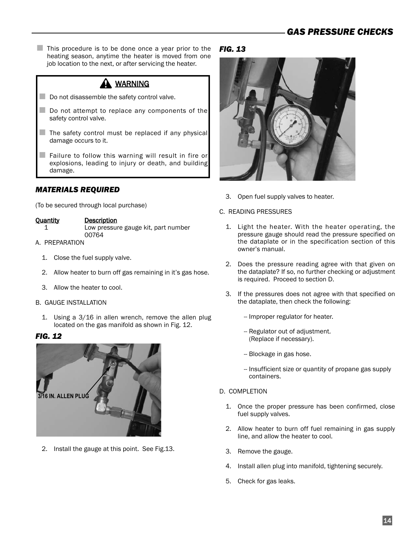■ This procedure is to be done once a year prior to the heating season, anytime the heater is moved from one job location to the next, or after servicing the heater.

## A WARNING

- Do not disassemble the safety control valve.
- Do not attempt to replace any components of the safety control valve.
- $\blacksquare$  The safety control must be replaced if any physical damage occurs to it.
- Failure to follow this warning will result in fire or explosions, leading to injury or death, and building damage.

#### *MATERIALS REQUIRED*

(To be secured through local purchase)

#### Quantity Description

- 
- 1 Low pressure gauge kit, part number
- 00764 A. PREPARATION
	- 1. Close the fuel supply valve.
	- 2. Allow heater to burn off gas remaining in it's gas hose.
	- 3. Allow the heater to cool.
- B. GAUGE INSTALLATION
	- 1. Using a 3/16 in allen wrench, remove the allen plug located on the gas manifold as shown in Fig. 12.

#### *FIG. 12*



2. Install the gauge at this point. See Fig.13.

#### *FIG. 13*



3. Open fuel supply valves to heater.

#### C. READING PRESSURES

- 1. Light the heater. With the heater operating, the pressure gauge should read the pressure specified on the dataplate or in the specification section of this owner's manual.
- 2. Does the pressure reading agree with that given on the dataplate? If so, no further checking or adjustment is required. Proceed to section D.
- 3. If the pressures does not agree with that specified on the dataplate, then check the following:
	- -- Improper regulator for heater.
	- -- Regulator out of adjustment. (Replace if necessary).
	- -- Blockage in gas hose.
	- -- Insufficient size or quantity of propane gas supply containers.
- D. COMPLETION
	- 1. Once the proper pressure has been confirmed, close fuel supply valves.
	- 2. Allow heater to burn off fuel remaining in gas supply line, and allow the heater to cool.
	- 3. Remove the gauge.
	- 4. Install allen plug into manifold, tightening securely.
	- 5. Check for gas leaks.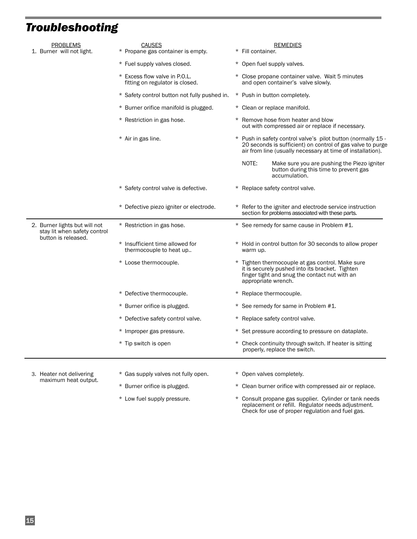## *Troubleshooting*

| <b>PROBLEMS</b><br>1. Burner will not light.                  | <b>CAUSES</b><br>* Propane gas container is empty.               | <b>REMEDIES</b><br>* Fill container.                                                                                                                                                     |
|---------------------------------------------------------------|------------------------------------------------------------------|------------------------------------------------------------------------------------------------------------------------------------------------------------------------------------------|
|                                                               | * Fuel supply valves closed.                                     | * Open fuel supply valves.                                                                                                                                                               |
|                                                               | * Excess flow valve in P.O.L.<br>fitting on regulator is closed. | * Close propane container valve. Wait 5 minutes<br>and open container's valve slowly.                                                                                                    |
|                                                               | * Safety control button not fully pushed in.                     | * Push in button completely.                                                                                                                                                             |
|                                                               | * Burner orifice manifold is plugged.                            | * Clean or replace manifold.                                                                                                                                                             |
|                                                               | * Restriction in gas hose.                                       | * Remove hose from heater and blow<br>out with compressed air or replace if necessary.                                                                                                   |
|                                                               | * Air in gas line.                                               | * Push in safety control valve's pilot button (normally 15 -<br>20 seconds is sufficient) on control of gas valve to purge<br>air from line (usually necessary at time of installation). |
|                                                               |                                                                  | NOTE:<br>Make sure you are pushing the Piezo igniter<br>button during this time to prevent gas<br>accumulation.                                                                          |
|                                                               | * Safety control valve is defective.                             | * Replace safety control valve.                                                                                                                                                          |
|                                                               | * Defective piezo igniter or electrode.                          | * Refer to the igniter and electrode service instruction<br>section for problems associated with these parts.                                                                            |
| 2. Burner lights but will not<br>stay lit when safety control | * Restriction in gas hose.                                       | * See remedy for same cause in Problem #1.                                                                                                                                               |
| button is released.                                           | * Insufficient time allowed for<br>thermocouple to heat up       | * Hold in control button for 30 seconds to allow proper<br>warm up.                                                                                                                      |
|                                                               | * Loose thermocouple.                                            | * Tighten thermocouple at gas control. Make sure<br>it is securely pushed into its bracket. Tighten<br>finger tight and snug the contact nut with an<br>appropriate wrench.              |
|                                                               | * Defective thermocouple.                                        | * Replace thermocouple.                                                                                                                                                                  |
|                                                               | * Burner orifice is plugged.                                     | * See remedy for same in Problem #1.                                                                                                                                                     |
|                                                               | * Defective safety control valve.                                | * Replace safety control valve.                                                                                                                                                          |
|                                                               | * Improper gas pressure.                                         | * Set pressure according to pressure on dataplate.                                                                                                                                       |
|                                                               | * Tip switch is open                                             | * Check continuity through switch. If heater is sitting<br>properly, replace the switch.                                                                                                 |
|                                                               |                                                                  |                                                                                                                                                                                          |
| 3. Heater not delivering<br>maximum heat output.              | * Gas supply valves not fully open.                              | * Open valves completely.                                                                                                                                                                |
|                                                               | * Burner orifice is plugged.                                     | * Clean burner orifice with compressed air or replace.                                                                                                                                   |

\* Low fuel supply pressure. \* Consult propane gas supplier. Cylinder or tank needs replacement or refill. Regulator needs adjustment. Check for use of proper regulation and fuel gas.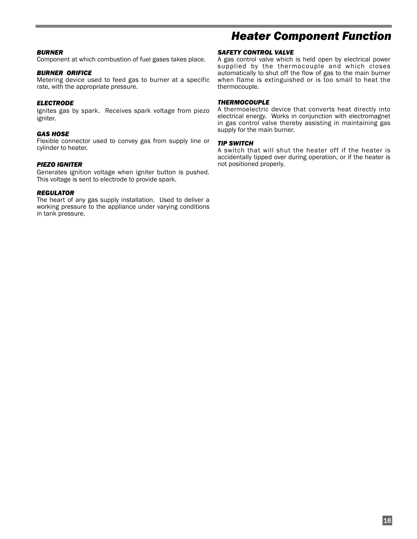#### *BURNER*

Component at which combustion of fuel gases takes place.

#### *BURNER ORIFICE*

Metering device used to feed gas to burner at a specific rate, with the appropriate pressure.

#### *ELECTRODE*

Ignites gas by spark. Receives spark voltage from piezo igniter.

#### *GAS HOSE*

Flexible connector used to convey gas from supply line or cylinder to heater.

#### *PIEZO IGNITER*

Generates ignition voltage when igniter button is pushed. This voltage is sent to electrode to provide spark.

#### *REGULATOR*

The heart of any gas supply installation. Used to deliver a working pressure to the appliance under varying conditions in tank pressure.

## *Heater Component Function*

#### *SAFETY CONTROL VALVE*

A gas control valve which is held open by electrical power supplied by the thermocouple and which closes automatically to shut off the flow of gas to the main burner when flame is extinguished or is too small to heat the thermocouple.

#### *THERMOCOUPLE*

A thermoelectric device that converts heat directly into electrical energy. Works in conjunction with electromagnet in gas control valve thereby assisting in maintaining gas supply for the main burner.

#### *TIP SWITCH*

A switch that will shut the heater off if the heater is accidentally tipped over during operation, or if the heater is not positioned properly.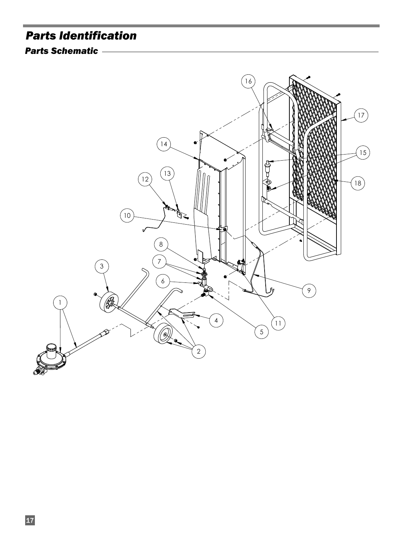## *Parts Identification*

### *Parts Schematic*

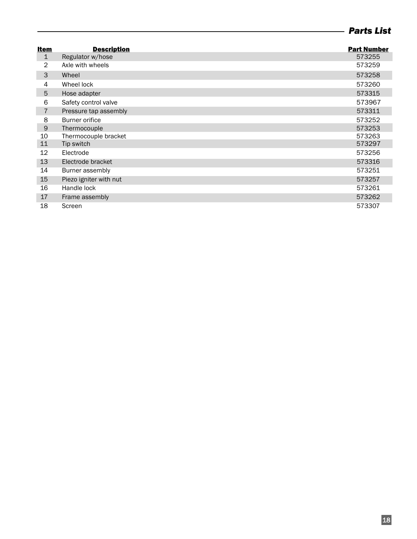### *Parts List*

| <b>Item</b>    | <b>Description</b>     | <b>Part Number</b> |
|----------------|------------------------|--------------------|
| $\mathbf 1$    | Regulator w/hose       | 573255             |
| $\overline{2}$ | Axle with wheels       | 573259             |
| 3              | Wheel                  | 573258             |
| 4              | Wheel lock             | 573260             |
| 5              | Hose adapter           | 573315             |
| 6              | Safety control valve   | 573967             |
| $\overline{7}$ | Pressure tap assembly  | 573311             |
| 8              | <b>Burner orifice</b>  | 573252             |
| $\mathsf 9$    | Thermocouple           | 573253             |
| 10             | Thermocouple bracket   | 573263             |
| 11             | Tip switch             | 573297             |
| 12             | Electrode              | 573256             |
| 13             | Electrode bracket      | 573316             |
| 14             | Burner assembly        | 573251             |
| 15             | Piezo igniter with nut | 573257             |
| 16             | Handle lock            | 573261             |
| 17             | Frame assembly         | 573262             |
| 18             | Screen                 | 573307             |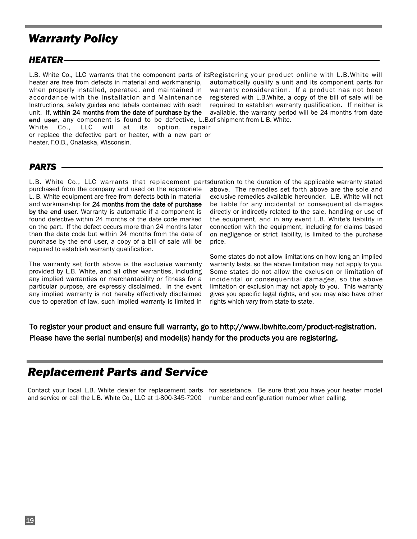## *Warranty Policy*

#### *HEATER*

L.B. White Co., LLC warrants that the component parts of itsRegistering your product online with L.B.White will end user, any component is found to be defective, L.B.of shipment from L B. White. heater are free from defects in material and workmanship, when properly installed, operated, and maintained in accordance with the Installation and Maintenance Instructions, safety guides and labels contained with each unit. If, within 24 months from the date of purchase by the White Co., LLC will at its option, repair or replace the defective part or heater, with a new part or heater, F.O.B., Onalaska, Wisconsin.

automatically qualify a unit and its component parts for warranty consideration. If a product has not been registered with L.B.White, a copy of the bill of sale will be required to establish warranty qualification. If neither is available, the warranty period will be 24 months from date

#### *PARTS*

L.B. White Co., LLC warrants that replacement partsduration to the duration of the applicable warranty stated purchased from the company and used on the appropriate L. B. White equipment are free from defects both in material and workmanship for 24 months from the date of purchase by the end user. Warranty is automatic if a component is found defective within 24 months of the date code marked on the part. If the defect occurs more than 24 months later than the date code but within 24 months from the date of purchase by the end user, a copy of a bill of sale will be required to establish warranty qualification.

The warranty set forth above is the exclusive warranty provided by L.B. White, and all other warranties, including any implied warranties or merchantability or fitness for a particular purpose, are expressly disclaimed. In the event any implied warranty is not hereby effectively disclaimed due to operation of law, such implied warranty is limited in above. The remedies set forth above are the sole and exclusive remedies available hereunder. L.B. White will not be liable for any incidental or consequential damages directly or indirectly related to the sale, handling or use of the equipment, and in any event L.B. White's liability in connection with the equipment, including for claims based on negligence or strict liability, is limited to the purchase price.

Some states do not allow limitations on how long an implied warranty lasts, so the above limitation may not apply to you. Some states do not allow the exclusion or limitation of incidental or consequential damages, so the above limitation or exclusion may not apply to you. This warranty gives you specific legal rights, and you may also have other rights which vary from state to state.

#### To register your product and ensure full warranty, go to http://www.lbwhite.com/product-registration. Please have the serial number(s) and model(s) handy for the products you are registering.

## *Replacement Parts and Service*

Contact your local L.B. White dealer for replacement parts for assistance. Be sure that you have your heater model and service or call the L.B. White Co., LLC at 1-800-345-7200 number and configuration number when calling.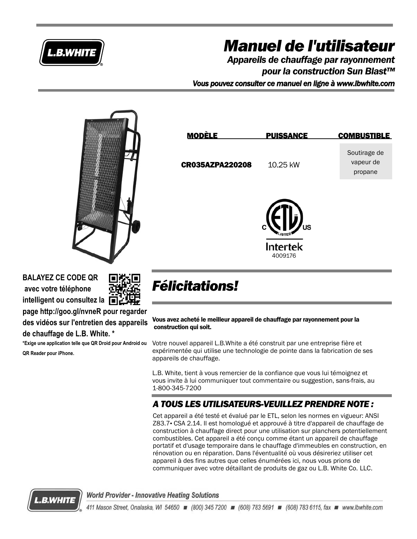

# *Manuel de l'utilisateur*

Soutirage de vapeur de propane

*Appareils de chauffage par rayonnement pour la construction Sun Blast™ Vous pouvez consulter ce manuel en ligne à www.lbwhite.com*



**BALAYEZ CE CODE QR avec votre téléphone intelligent ou consultez la**

**de chauffage de L.B. White. \***

**QR Reader pour iPhone.** 

**page http://goo.gl/nvneR pour regarder des vidéos sur l'entretien des appareils**

**\*Exige une application telle que QR Droid pour Android ou**



## *Félicitations!*

Vous avez acheté le meilleur appareil de chauffage par rayonnement pour la construction qui soit.

Votre nouvel appareil L.B.White a été construit par une entreprise fière et expérimentée qui utilise une technologie de pointe dans la fabrication de ses appareils de chauffage.

L.B. White, tient à vous remercier de la confiance que vous lui témoignez et vous invite à lui communiquer tout commentaire ou suggestion, sans-frais, au 1-800-345-7200

### *A TOUS LES UTILISATEURS-VEUILLEZ PRENDRE NOTE :*

Cet appareil a été testé et évalué par le ETL, selon les normes en vigueur: ANSI Z83.7- CSA 2.14. Il est homologué et approuvé à titre d'appareil de chauffage de construction à chauffage direct pour une utilisation sur planchers potentiellement combustibles. Cet appareil a été conçu comme étant un appareil de chauffage portatif et d'usage temporaire dans le chauffage d'immeubles en construction, en rénovation ou en réparation. Dans l'éventualité où vous désireriez utiliser cet appareil à des fins autres que celles énumérées ici, nous vous prions de communiquer avec votre détaillant de produits de gaz ou L.B. White Co. LLC.



**World Provider - Innovative Heating Solutions**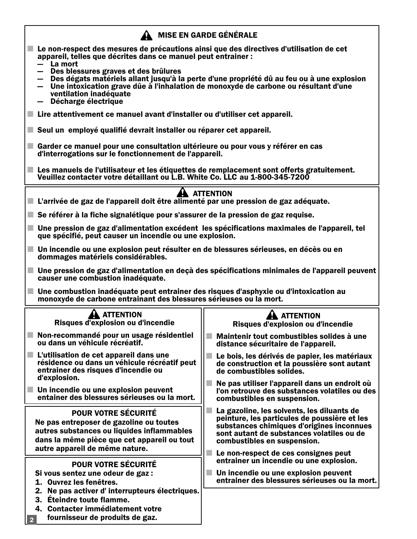| <b>MISE EN GARDE GÉNÉRALE</b>                                                                                                                                                                                                                                                          |                                                                                                                                                                                                                                                             |  |  |
|----------------------------------------------------------------------------------------------------------------------------------------------------------------------------------------------------------------------------------------------------------------------------------------|-------------------------------------------------------------------------------------------------------------------------------------------------------------------------------------------------------------------------------------------------------------|--|--|
| Le non-respect des mesures de précautions ainsi que des directives d'utilisation de cet<br>appareil, telles que décrites dans ce manuel peut entrainer :                                                                                                                               |                                                                                                                                                                                                                                                             |  |  |
| La mort<br>- Des blessures graves et des brûlures<br>Des dégats matériels allant jusqu'à la perte d'une propriété dû au feu ou à une explosion<br>Une intoxication grave dûe à l'inhalation de monoxyde de carbone ou résultant d'une<br>ventilation inadéquate<br>Décharge électrique |                                                                                                                                                                                                                                                             |  |  |
| ■ Lire attentivement ce manuel avant d'installer ou d'utiliser cet appareil.                                                                                                                                                                                                           |                                                                                                                                                                                                                                                             |  |  |
| Seul un employé qualifié devrait installer ou réparer cet appareil.                                                                                                                                                                                                                    |                                                                                                                                                                                                                                                             |  |  |
| Garder ce manuel pour une consultation ultérieure ou pour vous y référer en cas<br>d'interrogations sur le fonctionnement de l'appareil.                                                                                                                                               |                                                                                                                                                                                                                                                             |  |  |
| Les manuels de l'utilisateur et les étiquettes de remplacement sont offerts gratuitement.<br>Veuillez contacter votre détaillant ou L.B. White Co. LLC au 1-800-345-7200                                                                                                               |                                                                                                                                                                                                                                                             |  |  |
| ■ L'arrivée de gaz de l'appareil doit être alimenté par une pression de gaz adéquate.                                                                                                                                                                                                  | A ATTENTION                                                                                                                                                                                                                                                 |  |  |
| Se référer à la fiche signalétique pour s'assurer de la pression de gaz requise.                                                                                                                                                                                                       |                                                                                                                                                                                                                                                             |  |  |
| Une pression de gaz d'alimentation excédent les spécifications maximales de l'appareil, tel<br>٠<br>que spécifié, peut causer un incendie ou une explosion.                                                                                                                            |                                                                                                                                                                                                                                                             |  |  |
| Un incendie ou une explosion peut résulter en de blessures sérieuses, en décès ou en<br>dommages matériels considérables.                                                                                                                                                              |                                                                                                                                                                                                                                                             |  |  |
| Une pression de gaz d'alimentation en deçà des spécifications minimales de l'appareil peuvent<br>causer une combustion inadéquate.                                                                                                                                                     |                                                                                                                                                                                                                                                             |  |  |
| Une combustion inadéquate peut entrainer des risques d'asphyxie ou d'intoxication au<br>monoxyde de carbone entrainant des blessures sérieuses ou la mort.                                                                                                                             |                                                                                                                                                                                                                                                             |  |  |
| <b>ATTENTION</b>                                                                                                                                                                                                                                                                       | <b>ATTENTION</b>                                                                                                                                                                                                                                            |  |  |
| Risques d'explosion ou d'incendie                                                                                                                                                                                                                                                      | Risques d'explosion ou d'incendie                                                                                                                                                                                                                           |  |  |
| Non-recommandé pour un usage résidentiel<br>ou dans un véhicule récréatif.                                                                                                                                                                                                             | Maintenir tout combustibles solides à une<br>distance sécuritaire de l'appareil.                                                                                                                                                                            |  |  |
| L'utilisation de cet appareil dans une<br>п<br>résidence ou dans un véhicule récréatif peut<br>entrainer des risques d'incendie ou<br>d'explosion.                                                                                                                                     | Le bois, les dérivés de papier, les matériaux<br>de construction et la poussière sont autant<br>de combustibles solides.                                                                                                                                    |  |  |
| Un incendie ou une explosion peuvent<br>entainer des blessures sérieuses ou la mort.                                                                                                                                                                                                   | Ne pas utiliser l'appareil dans un endroit où<br>l'on retrouve des substances volatiles ou des<br>combustibles en suspension.                                                                                                                               |  |  |
| <b>POUR VOTRE SÉCURITÉ</b><br>Ne pas entreposer de gazoline ou toutes<br>autres substances ou liquides inflammables<br>dans la même pièce que cet appareil ou tout<br>autre appareil de même nature.                                                                                   | La gazoline, les solvents, les diluants de<br>peinture, les particules de poussière et les<br>substances chimiques d'origines inconnues<br>sont autant de substances volatiles ou de<br>combustibles en suspension.<br>Le non-respect de ces consignes peut |  |  |
| <b>POUR VOTRE SÉCURITÉ</b><br>Si vous sentez une odeur de gaz :<br>1. Ouvrez les fenêtres.<br>2. Ne pas activer d'interrupteurs électriques.<br>3. Éteindre toute flamme.<br>4. Contacter immédiatement votre<br>fournisseur de produits de gaz.<br>2 <sup>7</sup>                     | entrainer un incendie ou une explosion.<br>Un incendie ou une explosion peuvent<br>entrainer des blessures sérieuses ou la mort.                                                                                                                            |  |  |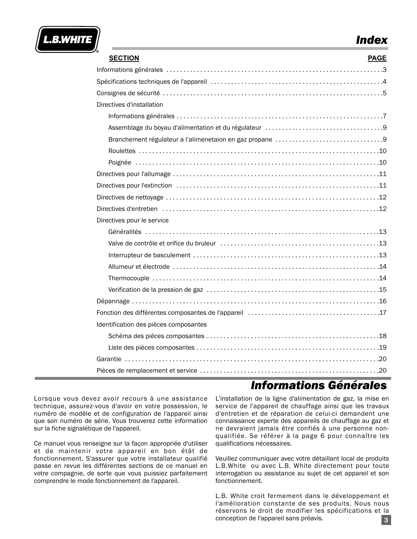

## *Index*

| <b>SECTION</b>                        | <b>PAGE</b> |
|---------------------------------------|-------------|
|                                       |             |
|                                       |             |
|                                       |             |
| Directives d'installation             |             |
|                                       |             |
|                                       |             |
|                                       |             |
|                                       |             |
|                                       |             |
|                                       |             |
|                                       |             |
|                                       |             |
|                                       |             |
| Directives pour le service            |             |
|                                       |             |
|                                       |             |
|                                       |             |
|                                       |             |
|                                       |             |
|                                       |             |
|                                       |             |
|                                       |             |
| Identification des pièces composantes |             |
|                                       |             |
|                                       |             |
|                                       |             |
|                                       |             |

## *Informations Générales*

Lorsque vous devez avoir recours à une assistance technique, assurez-vous d'avoir en votre possession, le numéro de modèle et de configuration de l'appareil ainsi que son numéro de série. Vous trouverez cette information sur la fiche signalétique de l'appareil.

Ce manuel vous renseigne sur la façon appropriée d'utiliser et de maintenir votre appareil en bon étât de fonctionnement. S'assurer que votre installateur qualifié passe en revue les différentes sections de ce manuel en votre compagnie, de sorte que vous puissiez parfaitement comprendre le mode fonctionnement de l'appareil.

L'installation de la ligne d'alimentation de gaz, la mise en service de l'appareil de chauffage ainsi que les travaux d'entretien et de réparation de celui-ci demandent une connaissance experte des appareils de chauffage au gaz et ne devraient jamais être confiés à une personne nonqualifiée. Se référer à la page 6 pour connaître les qualifications nécessaires.

Veuillez communiquer avec votre détaillant local de produits L.B.White ou avec L.B. White directement pour toute interrogation ou assistance au sujet de cet appareil et son fonctionnement.

L.B. White croit fermement dans le développement et l'amélioration constante de ses produits. Nous nous réservons le droit de modifier les spécifications et la conception de l'appareil sans préavis. 3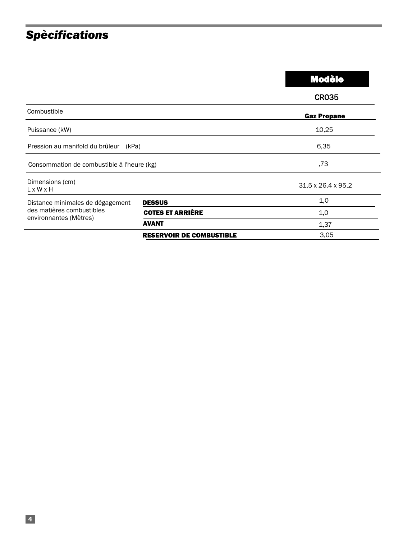## *Spècifications*

|                                                                                         |                                 | <b>Modèle</b>      |
|-----------------------------------------------------------------------------------------|---------------------------------|--------------------|
|                                                                                         |                                 | <b>CR035</b>       |
| Combustible                                                                             |                                 | <b>Gaz Propane</b> |
| Puissance (kW)                                                                          |                                 | 10,25              |
| Pression au manifold du brûleur<br>(kPa)                                                |                                 | 6,35               |
| Consommation de combustible à l'heure (kg)                                              |                                 | ,73                |
| Dimensions (cm)<br>$L \times W \times H$                                                |                                 | 31,5 x 26,4 x 95,2 |
| Distance minimales de dégagement<br>des matières combustibles<br>environnantes (Mètres) | <b>DESSUS</b>                   | 1,0                |
|                                                                                         | <b>COTES ET ARRIÈRE</b>         | 1,0                |
|                                                                                         | <b>AVANT</b>                    | 1,37               |
|                                                                                         | <b>RESERVOIR DE COMBUSTIBLE</b> | 3,05               |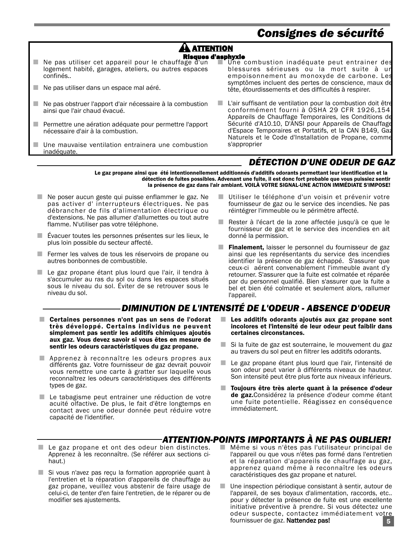## *Consignes de sécurité*

#### **ATTENTION** Risques d'asphyxie

- Ne pas utiliser cet appareil pour le chauffage d'un logement habité, garages, ateliers, ou autres espaces confinés..
- $\blacksquare$  Ne pas utiliser dans un espace mal aéré.
- Ne pas obstruer l'apport d'air nécessaire à la combustion ainsi que l'air chaud évacué.
- Permettre une aération adéquate pour permettre l'apport nécessaire d'air à la combustion.
- Une mauvaise ventilation entrainera une combustion inadéquate.
- Une combustion inadéquate peut entrainer des blessures sérieuses ou la mort suite à un empoisonnement au monoxyde de carbone. Les symptômes incluent des pertes de conscience, maux de tête, étourdissements et des difficultés à respirer.
- L'air suffisant de ventilation pour la combustion doit être conformément fourni à OSHA 29 CFR 1926,154, Appareils de Chauffage Temporaires, les Conditions de Sécurité d'A10.10, D'ANSI pour Appareils de Chauffage d'Espace Temporaires et Portatifs, et la CAN B149, Gaz Naturels et le Code d'Installation de Propane, comme s'approprier

### *DÉTECTION D'UNE ODEUR DE GAZ*

Le gaz propane ainsi que été intentionnellement additionnés d'additifs odorants permettant leur identification et la détection de fuites possibles. Advenant une fuite, il est donc fort probable que vous puissiez sentir la présence de gaz dans l'air ambiant. VOILÀ VOTRE SIGNAL-UNE ACTION IMMÉDIATE S'IMPOSE!

- Ne poser aucun geste qui puisse enflammer le gaz. Ne pas activer d' interrupteurs électriques. Ne pas débrancher de fils d'alimentation électrique ou d'extensions. Ne pas allumer d'allumettes ou tout autre flamme. N'utiliser pas votre téléphone.
- Évacuer toutes les personnes présentes sur les lieux, le plus loin possible du secteur affecté.
- Fermer les valves de tous les réservoirs de propane ou autres bonbonnes de combustible.
- Le gaz propane étant plus lourd que l'air, il tendra à s'accumuler au ras du sol ou dans les espaces situés sous le niveau du sol. Éviter de se retrouver sous le niveau du sol.
- Utiliser le téléphone d'un voisin et prévenir votre fournisseur de gaz ou le service des incendies. Ne pas réintégrer l'immeuble ou le périmètre affecté.
- Rester à l'écart de la zone affectée jusqu'à ce que le fournisseur de gaz et le service des incendies en ait donné la permission.
- Finalement, laisser le personnel du fournisseur de gaz ainsi que les représentants du service des incendies identifier la présence de gaz échappé. S'assurer que ceux-ci aérent convenablement l'immeuble avant d'y retourner. S'assurer que la fuite est colmatée et réparée par du personnel qualifié. Bien s'assurer que la fuite a bel et bien été colmatée et seulement alors, rallumer l'appareil.

#### *DIMINUTION DE L'INTENSITÉ DE L'ODEUR - ABSENCE D'ODEUR*

- Certaines personnes n'ont pas un sens de l'odorat très développé. Certains individus ne peuvent simplement pas sentir les additifs chimiques ajoutés aux gaz. Vous devez savoir si vous êtes en mesure de sentir les odeurs caractéristiques du gaz propane.
- Apprenez à reconnaître les odeurs propres aux différents gaz. Votre fournisseur de gaz devrait pouvoir vous remettre une carte à gratter sur laquelle vous reconnaîtrez les odeurs caractéristiques des différents types de gaz.
- Le tabagisme peut entrainer une réduction de votre acuité olfactive. De plus, le fait d'être longtemps en contact avec une odeur donnée peut réduire votre capacité de l'identifier.
- $\blacksquare$  Les additifs odorants ajoutés aux gaz propane sont incolores et l'intensité de leur odeur peut faiblir dans certaines circonstances.
- Si la fuite de gaz est souterraine, le mouvement du gaz au travers du sol peut en filtrer les additifs odorants.
- Le gaz propane étant plus lourd que l'air, l'intensité de son odeur peut varier à différents niveaux de hauteur. Son intensité peut être plus forte aux niveaux inférieurs.
- Toujours être très alerte quant à la présence d'odeur de gaz.Considérez la présence d'odeur comme étant une fuite potentielle. Réagissez en conséquence immédiatement.

#### *ATTENTION-POINTS IMPORTANTS À NE PAS OUBLIER!*

- Le gaz propane et ont des odeur bien distinctes. Apprenez à les reconnaître. (Se référer aux sections cihaut.)
- Si vous n'avez pas reçu la formation appropriée quant à l'entretien et la réparation d'appareils de chauffage au gaz propane, veuillez vous abstenir de faire usage de celui-ci, de tenter d'en faire l'entretien, de le réparer ou de modifier ses ajustements.
- Même si vous n'êtes pas l'utilisateur principal de l'appareil ou que vous n'êtes pas formé dans l'entretien et la réparation d'appareils de chauffage au gaz, apprenez quand même à reconnaître les odeurs caractéristiques des gaz propane et naturel.
- 5 ■ Une inspection périodique consistant à sentir, autour de l'appareil, de ses boyaux d'alimentation, raccords, etc.. pour y détecter la présence de fuite est une excellente initiative préventive à prendre. Si vous détectez une odeur suspecte, contactez immédiatement votre fournissuer de gaz. Nattendez pas!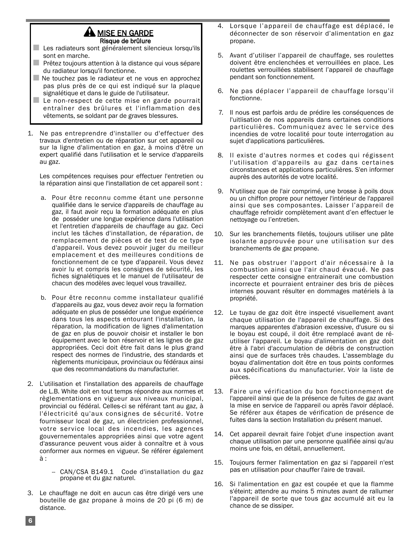#### A MISE EN GARDE Risque de brûlure

- Les radiateurs sont généralement silencieux lorsqu'ils sont en marche.
- Prêtez toujours attention à la distance qui vous sépare du radiateur lorsqu'il fonctionne.
- Ne touchez pas le radiateur et ne vous en approchez pas plus près de ce qui est indiqué sur la plaque signalétique et dans le guide de l'utilisateur.
- Le non-respect de cette mise en garde pourrait entraîner des brûlures et l'inflammation des vêtements, se soldant par de graves blessures.
- 1. Ne pas entreprendre d'installer ou d'effectuer des travaux d'entretien ou de réparation sur cet appareil ou sur la ligne d'alimentation en gaz, à moins d'être un expert qualifié dans l'utilisation et le service d'appareils au gaz.

Les compétences requises pour effectuer l'entretien ou la réparation ainsi que l'installation de cet appareil sont :

- a. Pour être reconnu comme étant une personne qualifiée dans le service d'appareils de chauffage au gaz, il faut avoir reçu la formation adéquate en plus de posséder une longue expérience dans l'utilisation et l'entretien d'appareils de chauffage au gaz. Ceci inclut les tâches d'installation, de réparation, de remplacement de pièces et de test de ce type d'appareil. Vous devez pouvoir juger du meilleur emplacement et des meilleures conditions de fonctionnement de ce type d'appareil. Vous devez avoir lu et compris les consignes de sécurité, les fiches signalétiques et le manuel de l'utilisateur de chacun des modèles avec lequel vous travaillez.
- b. Pour être reconnu comme installateur qualifié d'appareils au gaz, vous devez avoir reçu la formation adéquate en plus de posséder une longue expérience dans tous les aspects entourant l'installation, la réparation, la modification de lignes d'alimentation de gaz en plus de pouvoir choisir et installer le bon équipement avec le bon réservoir et les lignes de gaz appropriées. Ceci doit être fait dans le plus grand respect des normes de l'industrie, des standards et règlements municipaux, provinciaux ou fédéraux ainsi que des recommandations du manufacturier.
- 2. L'utilisation et l'installation des appareils de chauffage de L.B. White doit en tout temps répondre aux normes et règlementations en vigueur aux niveaux municipal, provincial ou fédéral. Celles-ci se référant tant au gaz, à l'électricité qu'aux consignes de sécurité. Votre fournisseur local de gaz, un électricien professionnel, votre service local des incendies, les agences gouvernementales appropriées ainsi que votre agent d'assurance peuvent vous aider à connaître et à vous conformer aux normes en vigueur. Se référer également à :
	- -- CAN/CSA B149.1 Code d'installation du gaz propane et du gaz naturel.
- 3. Le chauffage ne doit en aucun cas être dirigé vers une bouteille de gaz propane à moins de 20 pi (6 m) de distance.
- 4. Lorsque l'appareil de chauffage est déplacé, le déconnecter de son réservoir d'alimentation en gaz propane.
- 5. Avant d'utiliser l'appareil de chauffage, ses roulettes doivent être enclenchées et verrouillées en place. Les roulettes verrouillées stabilisent l'appareil de chauffage pendant son fonctionnement.
- 6. Ne pas déplacer l'appareil de chauffage lorsqu'il fonctionne.
- 7. Il nous est parfois ardu de prédire les conséquences de l'uitlisation de nos appareils dans certaines conditions particulières. Communiquez avec le service des incendies de votre localité pour toute interrogation au sujet d'applications particulières.
- 8. Il existe d'autres normes et codes qui régissent l'utilisation d'appareils au gaz dans certaines circonstances et applications particulières. S'en informer auprès des autorités de votre localité.
- 9. N'utilisez que de l'air comprimé, une brosse à poils doux ou un chiffon propre pour nettoyer l'intérieur de l'appareil ainsi que ses composantes. Laisser l'appareil de chauffage refroidir complètement avant d'en effectuer le nettoyage ou l'entretien.
- 10. Sur les branchements filetés, toujours utiliser une pâte isolante approuvée pour une utilisation sur des branchements de gaz propane.
- 11. Ne pas obstruer l'apport d'air nécessaire à la combustion ainsi que l'air chaud évacué. Ne pas respecter cette consigne entrainerait une combustion incorrecte et pourraient entrainer des bris de pièces internes pouvant résulter en dommages matériels à la propriété.
- 12. Le tuyau de gaz doit être inspecté visuellement avant chaque utilisation de l'appareil de chauffage. Si des marques apparentes d'abrasion excessive, d'usure ou si le boyau est coupé, il doit être remplacé avant de réutiliser l'appareil. Le boyau d'alimentation en gaz doit être à l'abri d'accumulation de débris de construction ainsi que de surfaces très chaudes. L'assemblage du boyau d'alimentation doit être en tous points conformes aux spécifications du manufacturier. Voir la liste de pièces.
- 13. Faire une vérification du bon fonctionnement de l'appareil ainsi que de la présence de fuites de gaz avant la mise en service de l'appareil ou après l'avoir déplacé. Se référer aux étapes de vérification de présence de fuites dans la section Installation du présent manuel.
- 14. Cet appareil devrait faire l'objet d'une inspection avant chaque utilisation par une personne qualifiée ainsi qu'au moins une fois, en détail, annuellement.
- 15. Toujours fermer l'alimentation en gaz si l'appareil n'est pas en utilisation pour chauffer l'aire de travail.
- 16. Si l'alimentation en gaz est coupée et que la flamme s'éteint; attendre au moins 5 minutes avant de rallumer l'appareil de sorte que tous gaz accumulé ait eu la chance de se dissiper.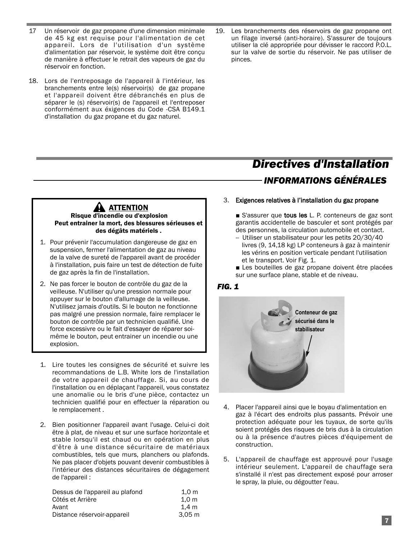- 17 Un réservoir de gaz propane d'une dimension minimale de 45 kg est requise pour l'alimentation de cet appareil. Lors de l'utilisation d'un système d'alimentation par réservoir, le système doit être conçu de manière à effectuer le retrait des vapeurs de gaz du réservoir en fonction.
- 18. Lors de l'entreposage de l'appareil à l'intérieur, les branchements entre le(s) réservoir(s) de gaz propane et l'appareil doivent être débranchés en plus de séparer le (s) réservoir(s) de l'appareil et l'entreposer conformément aux éxigences du Code -CSA B149.1 d'installation du gaz propane et du gaz naturel.
- 19. Les branchements des réservoirs de gaz propane ont un filage inversé (anti-horaire). S'assurer de toujours utiliser la clé appropriée pour dévisser le raccord P.O.L. sur la valve de sortie du réservoir. Ne pas utiliser de pinces.

## *Directives d'Installation INFORMATIONS GÉNÉRALES*

#### **AN ATTENTION** Risque d'incendie ou d'explosion Peut entrainer la mort, des blessures sérieuses et des dégâts matériels .

- 1. Pour prévenir l'accumulation dangereuse de gaz en suspension, fermer l'alimentation de gaz au niveau de la valve de sureté de l'appareil avant de procéder à l'installation, puis faire un test de détection de fuite de gaz après la fin de l'installation.
- 2. Ne pas forcer le bouton de contrôle du gaz de la veilleuse. N'utiliser qu'une pression normale pour appuyer sur le bouton d'allumage de la veilleuse. N'utilisez jamais d'outils. Si le bouton ne fonctionne pas malgré une pression normale, faire remplacer le bouton de contrôle par un technicien qualifié. Une force excessivre ou le fait d'essayer de réparer soimême le bouton, peut entrainer un incendie ou une explosion.
- 1. Lire toutes les consignes de sécurité et suivre les recommandations de L.B. White lors de l'installation de votre appareil de chauffage. Si, au cours de l'installation ou en déplaçant l'appareil, vous constatez une anomalie ou le bris d'une pièce, contactez un technicien qualifié pour en effectuer la réparation ou le remplacement .
- 2. Bien positionner l'appareil avant l'usage. Celui-ci doit être à plat, de niveau et sur une surface horizontale et stable lorsqu'il est chaud ou en opération en plus d'être à une distance sécuritaire de matériaux combustibles, tels que murs, planchers ou plafonds. Ne pas placer d'objets pouvant devenir combustibles à l'intérieur des distances sécuritaires de dégagement de l'appareil :

| 1.0 <sub>m</sub>  |
|-------------------|
| 1.0 <sub>m</sub>  |
| 1.4 m             |
| 3.05 <sub>m</sub> |
|                   |

#### 3. Exigences relatives à l'installation du gaz propane

■ S'assurer que **tous les** L. P. conteneurs de gaz sont garantis accidentelle de basculer et sont protégés par des personnes, la circulation automobile et contact.

- -- Utiliser un stabilisateur pour les petits 20/30/40 livres (9, 14,18 kg) LP conteneurs à gaz à maintenir les vérins en position verticale pendant l'utilisation et le transport. Voir Fig. 1.
- Les bouteilles de gaz propane doivent être placées sur une surface plane, stable et de niveau.

#### *FIG. 1*



- 4. Placer l'appareil ainsi que le boyau d'alimentation en gaz à l'écart des endroits plus passants. Prévoir une protection adéquate pour les tuyaux, de sorte qu'ils soient protégés des risques de bris dus à la circulation ou à la présence d'autres pièces d'équipement de construction.
- 5. L'appareil de chauffage est approuvé pour l'usage intérieur seulement. L'appareil de chauffage sera s'installé il n'est pas directement exposé pour arroser le spray, la pluie, ou dégoutter l'eau.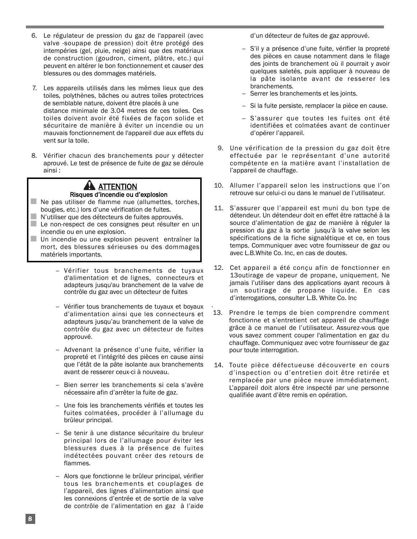- 6. Le régulateur de pression du gaz de l'appareil (avec valve -soupape de pression) doit être protégé des intempéries (gel, pluie, neige) ainsi que des matériaux de construction (goudron, ciment, plâtre, etc.) qui peuvent en altérer le bon fonctionnement et causer des blessures ou des dommages matériels.
- 7. Les appareils utilisés dans les mêmes lieux que des toiles, polythènes, bâches ou autres toiles protectrices de semblable nature, doivent être placés à une distance minimale de 3.04 metres de ces toiles. Ces toiles doivent avoir été fixées de façon solide et sécuritaire de manière à éviter un incendie ou un mauvais fonctionnement de l'appareil due aux effets du vent sur la toile.
- 8. Vérifier chacun des branchements pour y détecter aprouvé. Le test de présence de fuite de gaz se déroule ainsi :

### **AN ATTENTION** Risques d'incendie ou d'explosion

- Ne pas utiliser de flamme nue (allumettes, torches, bougies, etc.) lors d'une vérification de fuites. ■ N'utiliser que des détecteurs de fuites approuvés.
- Le non-respect de ces consignes peut résulter en un incendie ou en une explosion. ■ Un incendie ou une explosion peuvent entraîner la
	- mort, des blessures sérieuses ou des dommages matériels importants.
		- -- Vérifier tous branchements de tuyaux d'alimentation et de lignes, connecteurs et adapteurs jusqu'au branchement de la valve de contrôle du gaz avec un détecteur de fuites
		- -- Vérifier tous branchements de tuyaux et boyaux d'alimentation ainsi que les connecteurs et adapteurs jusqu'au branchement de la valve de contrôle du gaz avec un détecteur de fuites approuvé.
		- -- Advenant la présence d'une fuite, vérifier la propreté et l'intégrité des pièces en cause ainsi que l'étât de la pâte isolante aux branchements avant de resserer ceux-ci à nouveau.
		- -- Bien serrer les branchements si cela s'avère nécessaire afin d'arrêter la fuite de gaz.
		- -- Une fois les branchements vérifiés et toutes les fuites colmatées, procéder à l'allumage du brûleur principal.
		- -- Se tenir à une distance sécuritaire du bruleur principal lors de l'allumage pour éviter les blessures dues à la présence de fuites indétectées pouvant créer des retours de flammes.
		- -- Alors que fonctionne le brûleur principal, vérifier tous les branchements et couplages de l'appareil, des lignes d'alimentation ainsi que les connexions d'entrée et de sortie de la valve de contrôle de l'alimentation en gaz à l'aide

d'un détecteur de fuites de gaz approuvé.

- -- S'il y a présence d'une fuite, vérifier la propreté des pièces en cause notamment dans le filage des joints de branchement où il pourrait y avoir quelques saletés, puis appliquer à nouveau de la pâte isolante avant de resserer les branchements.
- Serrer les branchements et les joints.
- -- Si la fuite persiste, remplacer la pièce en cause.
- -- S'assurer que toutes les fuites ont été identifiées et colmatées avant de continuer d'opérer l'appareil.
- 9. Une vérification de la pression du gaz doit être effectuée par le représentant d'une autorité compétente en la matière avant l'installation de l'appareil de chauffage.
- 10. Allumer l'appareil selon les instructions que l'on retrouve sur celui-ci ou dans le manuel de l'utilisateur.
- 11. S'assurer que l'appareil est muni du bon type de détendeur. Un détendeur doit en effet être rattaché à la source d'alimentation de gaz de manière à réguler la pression du gaz à la sortie jusqu'à la valve selon les spécifications de la fiche signalétique et ce, en tous temps. Communiquer avec votre fournisseur de gaz ou avec L.B.White Co. Inc, en cas de doutes.
- 12. Cet appareil a été conçu afin de fonctionner en 13outirage de vapeur de propane, uniquement. Ne jamais l'utiliser dans des applications ayant recours à un soutirage de propane liquide. En cas d'interrogations, consulter L.B. White Co. Inc
- . 13. Prendre le temps de bien comprendre comment fonctionne et s'entretient cet appareil de chauffage grâce à ce manuel de l'utilisateur. Assurez-vous que vous savez comment couper l'alimentation en gaz du chauffage. Communiquez avec votre fournisseur de gaz pour toute interrogation.
- 14. Toute pièce défectueuse découverte en cours d'inspection ou d'entretien doit être retirée et remplacée par une pièce neuve immédiatement. L'appareil doit alors être inspecté par une personne qualifiée avant d'être remis en opération.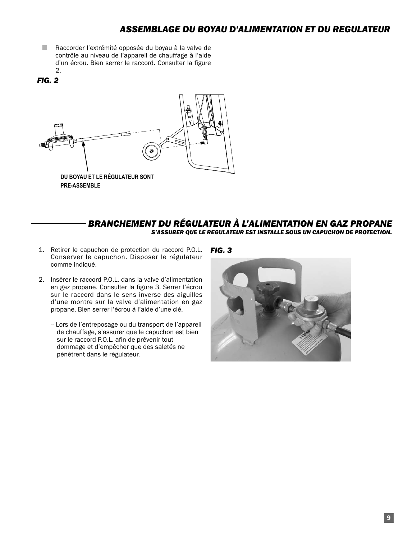- Raccorder l'extrémité opposée du boyau à la valve de contrôle au niveau de l'appareil de chauffage à l'aide d'un écrou. Bien serrer le raccord. Consulter la figure 2.
- *FIG. 2*



#### *BRANCHEMENT DU RÉGULATEUR À L'ALIMENTATION EN GAZ PROPANE S'ASSURER QUE LE REGULATEUR EST INSTALLE SOUS UN CAPUCHON DE PROTECTION.*

- 1. Retirer le capuchon de protection du raccord P.O.L. Conserver le capuchon. Disposer le régulateur comme indiqué.
- 2. Insérer le raccord P.O.L. dans la valve d'alimentation en gaz propane. Consulter la figure 3. Serrer l'écrou sur le raccord dans le sens inverse des aiguilles d'une montre sur la valve d'alimentation en gaz propane. Bien serrer l'écrou à l'aide d'une clé.
	- -- Lors de l'entreposage ou du transport de l'appareil de chauffage, s'assurer que le capuchon est bien sur le raccord P.O.L. afin de prévenir tout dommage et d'empêcher que des saletés ne pénètrent dans le régulateur.

#### *FIG. 3*

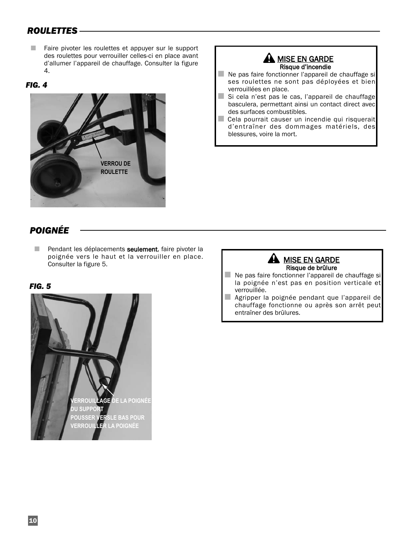### *ROULETTES*

■ Faire pivoter les roulettes et appuyer sur le support des roulettes pour verrouiller celles-ci en place avant d'allumer l'appareil de chauffage. Consulter la figure 4.

#### *FIG. 4*



#### **A MISE EN GARDE** Risque d'incendie

- Ne pas faire fonctionner l'appareil de chauffage si ses roulettes ne sont pas déployées et bien verrouillées en place.
- Si cela n'est pas le cas, l'appareil de chauffage basculera, permettant ainsi un contact direct avec des surfaces combustibles.
- Cela pourrait causer un incendie qui risquerait d'entraîner des dommages matériels, des blessures, voire la mort.

### *POIGNÉE*

■ Pendant les déplacements seulement, faire pivoter la poignée vers le haut et la verrouiller en place. Consulter la figure 5.

#### *FIG. 5*



#### **A** MISE EN GARDE Risque de brûlure

- Ne pas faire fonctionner l'appareil de chauffage si la poignée n'est pas en position verticale et verrouillée.
- Agripper la poignée pendant que l'appareil de chauffage fonctionne ou après son arrêt peut entraîner des brûlures.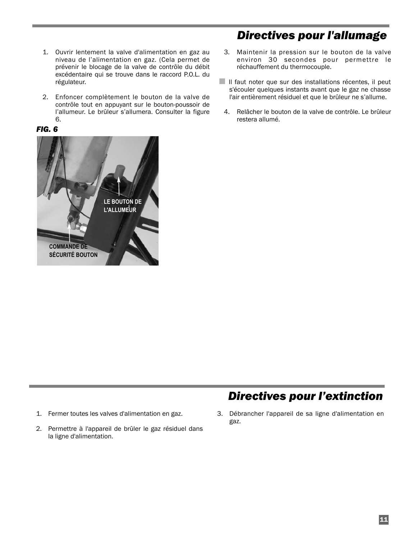- 1. Ouvrir lentement la valve d'alimentation en gaz au niveau de l'alimentation en gaz. (Cela permet de prévenir le blocage de la valve de contrôle du débit excédentaire qui se trouve dans le raccord P.O.L. du régulateur.
- 2. Enfoncer complètement le bouton de la valve de contrôle tout en appuyant sur le bouton-poussoir de l'allumeur. Le brûleur s'allumera. Consulter la figure 6.

#### *FIG. 6*

## *Directives pour l'allumage*

- 3. Maintenir la pression sur le bouton de la valve environ 30 secondes pour permettre le réchauffement du thermocouple.
- Il faut noter que sur des installations récentes, il peut s'écouler quelques instants avant que le gaz ne chasse l'air entièrement résiduel et que le brûleur ne s'allume.
- 4. Relâcher le bouton de la valve de contrôle. Le brûleur restera allumé.



## *Directives pour l'extinction*

- 1. Fermer toutes les valves d'alimentation en gaz.
- 2. Permettre à l'appareil de brûler le gaz résiduel dans la ligne d'alimentation.
- 3. Débrancher l'appareil de sa ligne d'alimentation en gaz.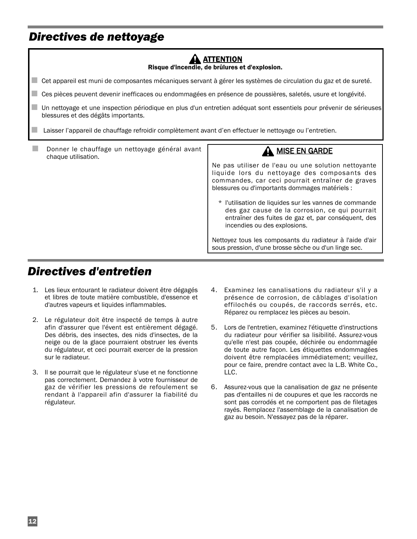## *Directives de nettoyage*

| <b>ATTENTION</b><br>Risque d'incendie, de brûlures et d'explosion.                                                                                                                                                                                                     |                                                                                                                                                                                                                                                                                                                                                                                                                                                                                                  |  |
|------------------------------------------------------------------------------------------------------------------------------------------------------------------------------------------------------------------------------------------------------------------------|--------------------------------------------------------------------------------------------------------------------------------------------------------------------------------------------------------------------------------------------------------------------------------------------------------------------------------------------------------------------------------------------------------------------------------------------------------------------------------------------------|--|
| Cet appareil est muni de composantes mécaniques servant à gérer les systèmes de circulation du gaz et de sureté.                                                                                                                                                       |                                                                                                                                                                                                                                                                                                                                                                                                                                                                                                  |  |
| Ces pièces peuvent devenir inefficaces ou endommagées en présence de poussières, saletés, usure et longévité.                                                                                                                                                          |                                                                                                                                                                                                                                                                                                                                                                                                                                                                                                  |  |
| Un nettoyage et une inspection périodique en plus d'un entretien adéquat sont essentiels pour prévenir de sérieuses<br>blessures et des dégâts importants.<br>Laisser l'appareil de chauffage refroidir complètement avant d'en effectuer le nettoyage ou l'entretien. |                                                                                                                                                                                                                                                                                                                                                                                                                                                                                                  |  |
|                                                                                                                                                                                                                                                                        |                                                                                                                                                                                                                                                                                                                                                                                                                                                                                                  |  |
| Donner le chauffage un nettoyage général avant<br>chaque utilisation.                                                                                                                                                                                                  | <b>MISE EN GARDE</b><br>Ne pas utiliser de l'eau ou une solution nettoyante<br>liquide lors du nettoyage des composants des<br>commandes, car ceci pourrait entraîner de graves<br>blessures ou d'importants dommages matériels :<br>* l'utilisation de liquides sur les vannes de commande<br>des gaz cause de la corrosion, ce qui pourrait<br>entraîner des fuites de gaz et, par conséquent, des<br>incendies ou des explosions.<br>Nettoyez tous les composants du radiateur à l'aide d'air |  |

## *Directives d'entretien*

- 1. Les lieux entourant le radiateur doivent être dégagés et libres de toute matière combustible, d'essence et d'autres vapeurs et liquides inflammables.
- 2. Le régulateur doit être inspecté de temps à autre afin d'assurer que l'évent est entièrement dégagé. Des débris, des insectes, des nids d'insectes, de la neige ou de la glace pourraient obstruer les évents du régulateur, et ceci pourrait exercer de la pression sur le radiateur.
- 3. Il se pourrait que le régulateur s'use et ne fonctionne pas correctement. Demandez à votre fournisseur de gaz de vérifier les pressions de refoulement se rendant à l'appareil afin d'assurer la fiabilité du régulateur.
- 4. Examinez les canalisations du radiateur s'il y a présence de corrosion, de câblages d'isolation effilochés ou coupés, de raccords serrés, etc. Réparez ou remplacez les pièces au besoin.
- 5. Lors de l'entretien, examinez l'étiquette d'instructions du radiateur pour vérifier sa lisibilité. Assurez-vous qu'elle n'est pas coupée, déchirée ou endommagée de toute autre façon. Les étiquettes endommagées doivent être remplacées immédiatement; veuillez, pour ce faire, prendre contact avec la L.B. White Co., LLC.
- 6. Assurez-vous que la canalisation de gaz ne présente pas d'entailles ni de coupures et que les raccords ne sont pas corrodés et ne comportent pas de filetages rayés. Remplacez l'assemblage de la canalisation de gaz au besoin. N'essayez pas de la réparer.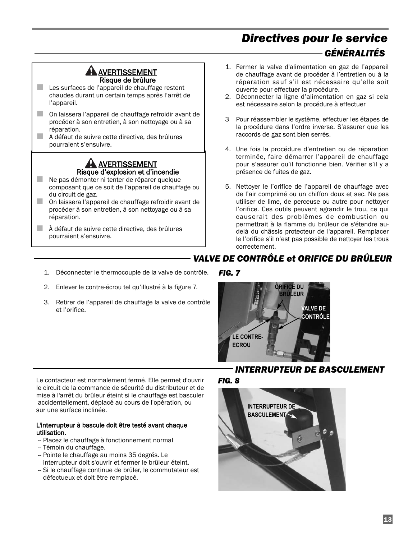## *Directives pour le service GÉNÉRALITÉS*

#### ANERTISSEMENT Risque de brûlure

■ Les surfaces de l'appareil de chauffage restent chaudes durant un certain temps après l'arrêt de l'appareil.

- On laissera l'appareil de chauffage refroidir avant de procéder à son entretien, à son nettoyage ou à sa réparation.
- A défaut de suivre cette directive, des brûlures pourraient s'ensuivre.

#### **AN AVERTISSEMENT** Risque d'explosion et d'incendie

- Ne pas démonter ni tenter de réparer quelque composant que ce soit de l'appareil de chauffage ou du circuit de gaz.
- On laissera l'appareil de chauffage refroidir avant de procéder à son entretien, à son nettoyage ou à sa réparation.
- À défaut de suivre cette directive, des brûlures pourraient s'ensuivre.
- 1. Fermer la valve d'alimentation en gaz de l'appareil de chauffage avant de procéder à l'entretien ou à la réparation sauf s'il est nécessaire qu'elle soit ouverte pour effectuer la procédure.
- 2. Déconnecter la ligne d'alimentation en gaz si cela est nécessaire selon la procédure à effectuer
- 3 Pour réassembler le système, effectuer les étapes de la procédure dans l'ordre inverse. S'assurer que les raccords de gaz sont bien serrés.
- 4. Une fois la procédure d'entretien ou de réparation terminée, faire démarrer l'appareil de chauffage pour s'assurer qu'il fonctionne bien. Vérifier s'il y a présence de fuites de gaz.
- 5. Nettoyer le l'orifice de l'appareil de chauffage avec de l'air comprimé ou un chiffon doux et sec. Ne pas utiliser de lime, de perceuse ou autre pour nettoyer l'orifice. Ces outils peuvent agrandir le trou, ce qui causerait des problèmes de combustion ou permettrait à la flamme du brûleur de s'étendre audelà du châssis protecteur de l'appareil. Remplacer le l'orifice s'il n'est pas possible de nettoyer les trous correctement.

### *VALVE DE CONTRÔLE et ORIFICE DU BRÛLEUR*

- 1. Déconnecter le thermocouple de la valve de contrôle.
- 2. Enlever le contre-écrou tel qu'illustré à la figure 7.
- 3. Retirer de l'appareil de chauffage la valve de contrôle et l'orifice.

*FIG. 7*



#### *INTERRUPTEUR DE BASCULEMENT*

*FIG. 8*



#### L'interrupteur à bascule doit être testé avant chaque utilisation.

- -- Placez le chauffage à fonctionnement normal
- -- Témoin du chauffage.
- -- Pointe le chauffage au moins 35 degrés. Le interrupteur doit s'ouvrir et fermer le brûleur éteint.
- -- Si le chauffage continue de brûler, le commutateur est défectueux et doit être remplacé.

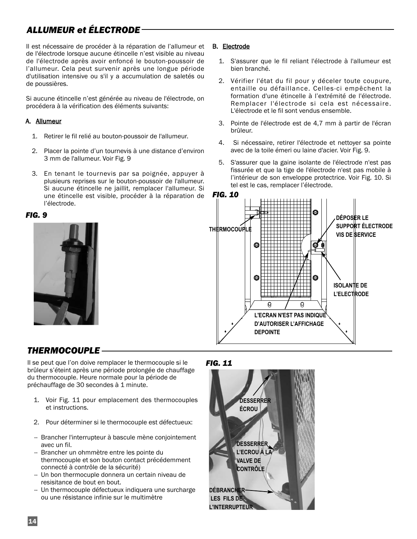## *ALLUMEUR et ÉLECTRODE*

Il est nécessaire de procéder à la réparation de l'allumeur et de l'électrode lorsque aucune étincelle n'est visible au niveau de l'électrode après avoir enfoncé le bouton-poussoir de l'allumeur. Cela peut survenir après une longue période d'utilisation intensive ou s'il y a accumulation de saletés ou de poussières.

Si aucune étincelle n'est générée au niveau de l'électrode, on procédera à la vérification des éléments suivants:

#### A. Allumeur

- 1. Retirer le fil relié au bouton-poussoir de l'allumeur.
- 2. Placer la pointe d'un tournevis à une distance d'environ 3 mm de l'allumeur. Voir Fig. 9
- 3. En tenant le tournevis par sa poignée, appuyer à plusieurs reprises sur le bouton-poussoir de l'allumeur. Si aucune étincelle ne jaillit, remplacer l'allumeur. Si une étincelle est visible, procéder à la réparation de l'électrode.

#### *FIG. 9*



#### B. Electrode

- 1. S'assurer que le fil reliant l'électrode à l'allumeur est bien branché.
- 2. Vérifier l'état du fil pour y déceler toute coupure, entaille ou défaillance. Celles-ci empêchent la formation d'une étincelle à l'extrémité de l'électrode. Remplacer l'électrode si cela est nécessaire. L'électrode et le fil sont vendus ensemble.
- 3. Pointe de l'électrode est de 4,7 mm à partir de l'écran brûleur.
- 4. Si nécessaire, retirer l'électrode et nettoyer sa pointe avec de la toile émeri ou laine d'acier. Voir Fig. 9.
- 5. S'assurer que la gaine isolante de l'électrode n'est pas fissurée et que la tige de l'électrode n'est pas mobile à l'intérieur de son enveloppe protectrice. Voir Fig. 10. Si tel est le cas, remplacer l'électrode.



### *THERMOCOUPLE*

Il se peut que l'on doive remplacer le thermocouple si le brûleur s'éteint après une période prolongée de chauffage du thermocouple. Heure normale pour la période de préchauffage de 30 secondes à 1 minute.

- 1. Voir Fig. 11 pour emplacement des thermocouples et instructions.
- 2. Pour déterminer si le thermocouple est défectueux:
- -- Brancher l'interrupteur à bascule mène conjointement avec un fil.
- Brancher un ohmmètre entre les pointe du thermocouple et son bouton contact précédemment connecté à contrôle de la sécurité)
- -- Un bon thermocuple donnera un certain niveau de resisitance de bout en bout.
- -- Un thermocouple défectueux indiquera une surcharge ou une résistance infinie sur le multimètre

#### *FIG. 11*

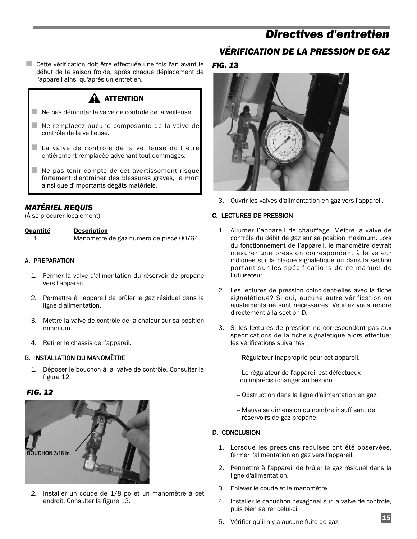## *Directives d'entretien*

### *VÉRIFICATION DE LA PRESSION DE GAZ*

■ Cette vérification doit être effectuée une fois l'an avant le début de la saison froide, après chaque déplacement de l'appareil ainsi qu'après un entretien.

### **A** ATTENTION

- Ne pas démonter la valve de contrôle de la veilleuse.
- $\blacksquare$  Ne remplacez aucune composante de la valve de contrôle de la veilleuse.
- La valve de contrôle de la veilleuse doit être entièrement remplacée advenant tout dommages.
- $\blacksquare$  Ne pas tenir compte de cet avertissement risque fortement d'entrainer des blessures graves, la mort ainsi que d'importants dégâts matériels.

#### *MATÉRIEL REQUIS*

(À se procurer localement)

#### Quantité Description

1 Manomètre de gaz numero de piece 00764.

#### A. PREPARATION

- 1. Fermer la valve d'alimentation du réservoir de propane vers l'appareil.
- 2. Permettre à l'appareil de brûler le gaz résiduel dans la ligne d'alimentation.
- 3. Mettre la valve de contrôle de la chaleur sur sa position minimum.
- 4. Retirer le chassis de l'appareil.

#### B. INSTALLATION DU MANOMÈTRE

1. Déposer le bouchon à la valve de contrôle. Consulter la figure 12.

#### *FIG. 12*



2. Installer un coude de 1/8 po et un manomètre à cet endroit. Consulter la figure 13.

#### *FIG. 13*



3. Ouvrir les valves d'alimentation en gaz vers l'appareil.

#### C. LECTURES DE PRESSION

- 1. Allumer l'appareil de chauffage. Mettre la valve de contrôle du débit de gaz sur sa position maximum. Lors du fonctionnement de l'appareil, le manomètre devrait mesurer une pression correspondant à la valeur indiquée sur la plaque signalétique ou dans la section portant sur les spécifications de ce manuel de l'utilisateur
- 2. Les lectures de pression coincident-elles avec la fiche signalétique? Si oui, aucune autre vérification ou ajustements ne sont nécessaires. Veuillez vous rendre directement à la section D.
- 3. Si les lectures de pression ne correspondent pas aux spécifications de la fiche signalétique alors effectuer les vérifications suivantes :
	- -- Régulateur inapproprié pour cet appareil.
	- -- Le régulateur de l'appareil est défectueux ou imprécis (changer au besoin).
	- -- Obstruction dans la ligne d'alimentation en gaz.
	- -- Mauvaise dimension ou nombre insuffisant de réservoirs de gaz propane.

#### D. CONCLUSION

- 1. Lorsque les pressions requises ont été observées, fermer l'alimentation en gaz vers l'appareil.
- 2. Permettre à l'appareil de brûler le gaz résiduel dans la ligne d'alimentation.
- 3. Enlever le coude et le manomètre.
- 4. Installer le capuchon hexagonal sur la valve de contrôle, puis bien serrer celui-ci.
- 5. Vérifier qu'il n'y a aucune fuite de gaz.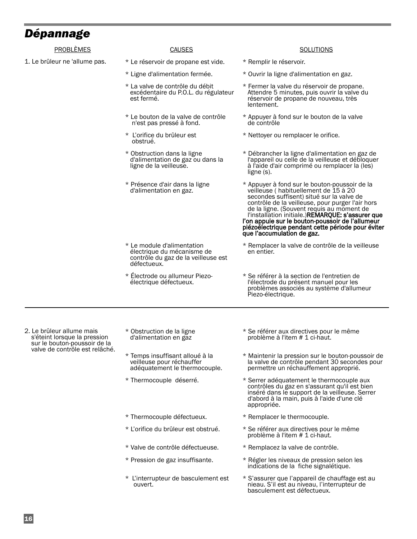## *Dépannage*

| Depannage                                                                                                                   |                                                                                                                |                                                                                                                                                                                                                                                                                                                                                                                                                                |
|-----------------------------------------------------------------------------------------------------------------------------|----------------------------------------------------------------------------------------------------------------|--------------------------------------------------------------------------------------------------------------------------------------------------------------------------------------------------------------------------------------------------------------------------------------------------------------------------------------------------------------------------------------------------------------------------------|
| PROBLÈMES                                                                                                                   | <b>CAUSES</b>                                                                                                  | <b>SOLUTIONS</b>                                                                                                                                                                                                                                                                                                                                                                                                               |
| 1. Le brûleur ne 'allume pas.                                                                                               | * Le réservoir de propane est vide.                                                                            | * Remplir le réservoir.                                                                                                                                                                                                                                                                                                                                                                                                        |
|                                                                                                                             | * Ligne d'alimentation fermée.                                                                                 | * Ouvrir la ligne d'alimentation en gaz.                                                                                                                                                                                                                                                                                                                                                                                       |
|                                                                                                                             | * La valve de contrôle du débit<br>excédentaire du P.O.L. du régulateur<br>est fermé.                          | * Fermer la valve du réservoir de propane.<br>Attendre 5 minutes, puis ouvrir la valve du<br>réservoir de propane de nouveau, très<br>lentement.                                                                                                                                                                                                                                                                               |
|                                                                                                                             | * Le bouton de la valve de contrôle<br>n'est pas pressé à fond.                                                | * Appuyer à fond sur le bouton de la valve<br>de contrôle                                                                                                                                                                                                                                                                                                                                                                      |
|                                                                                                                             | * L'orifice du brûleur est<br>obstrué.                                                                         | * Nettoyer ou remplacer le orifice.                                                                                                                                                                                                                                                                                                                                                                                            |
|                                                                                                                             | * Obstruction dans la ligne<br>d'alimentation de gaz ou dans la<br>ligne de la veilleuse.                      | * Débrancher la ligne d'alimentation en gaz de<br>l'appareil ou celle de la veilleuse et débloquer<br>à l'aide d'air comprimé ou remplacer la (les)<br>ligne $(s)$ .                                                                                                                                                                                                                                                           |
|                                                                                                                             | * Présence d'air dans la ligne<br>d'alimentation en gaz.                                                       | * Appuyer à fond sur le bouton-poussoir de la<br>veilleuse (habituellement de 15 à 20<br>secondes suffisent) situé sur la valve de<br>contrôle de la veilleuse, pour purger l'air hors<br>de la ligne. (Souvent requis au moment de<br>l'installation initiale.)REMARQUE: s'assurer que<br>l'on appuie sur le bouton-poussoir de l'allumeur<br>piézoélectrique pendant cette période pour éviter<br>que l'accumulation de gaz. |
|                                                                                                                             | * Le module d'alimentation<br>électrique du mécanisme de<br>contrôle du gaz de la veilleuse est<br>défectueux. | * Remplacer la valve de contrôle de la veilleuse<br>en entier.                                                                                                                                                                                                                                                                                                                                                                 |
|                                                                                                                             | * Electrode ou allumeur Piezo-<br>électrique défectueux.                                                       | * Se référer à la section de l'entretien de<br>l'électrode du présent manuel pour les<br>problèmes associés au système d'allumeur<br>Piezo-électrique.                                                                                                                                                                                                                                                                         |
|                                                                                                                             |                                                                                                                |                                                                                                                                                                                                                                                                                                                                                                                                                                |
| 2. Le brûleur allume mais<br>s'éteint lorsque la pression<br>sur le bouton-poussoir de la<br>valve de contrôle est relâché. | * Obstruction de la ligne<br>d'alimentation en gaz                                                             | * Se référer aux directives pour le même<br>problème à l'item # 1 ci-haut.                                                                                                                                                                                                                                                                                                                                                     |
|                                                                                                                             | * Temps insuffisant alloué à la<br>veilleuse pour réchauffer<br>adéquatement le thermocouple.                  | * Maintenir la pression sur le bouton-poussoir de<br>la valve de contrôle pendant 30 secondes pour<br>permettre un réchauffement approprié.                                                                                                                                                                                                                                                                                    |
|                                                                                                                             | * Thermocouple déserré.                                                                                        | * Serrer adéquatement le thermocouple aux<br>contrôles du gaz en s'assurant qu'il est bien<br>inséré dans le support de la veilleuse. Serrer<br>d'abord à la main, puis à l'aide d'une clé<br>appropriée.                                                                                                                                                                                                                      |
|                                                                                                                             | * Thermocouple défectueux.                                                                                     | * Remplacer le thermocouple.                                                                                                                                                                                                                                                                                                                                                                                                   |
|                                                                                                                             | * L'orifice du brûleur est obstrué.                                                                            | * Se référer aux directives pour le même<br>problème à l'item # 1 ci-haut.                                                                                                                                                                                                                                                                                                                                                     |
|                                                                                                                             | * Valve de contrôle défectueuse.                                                                               | * Remplacez la valve de contrôle.                                                                                                                                                                                                                                                                                                                                                                                              |
|                                                                                                                             | * Pression de gaz insuffisante.                                                                                | * Régler les niveaux de pression selon les<br>indications de la fiche signalétique.                                                                                                                                                                                                                                                                                                                                            |
|                                                                                                                             | * L'interrupteur de basculement est<br>ouvert.                                                                 | * S'assurer que l'appareil de chauffage est au<br>nieau. S'il est au niveau, l'interrupteur de                                                                                                                                                                                                                                                                                                                                 |

basculement est défectueux.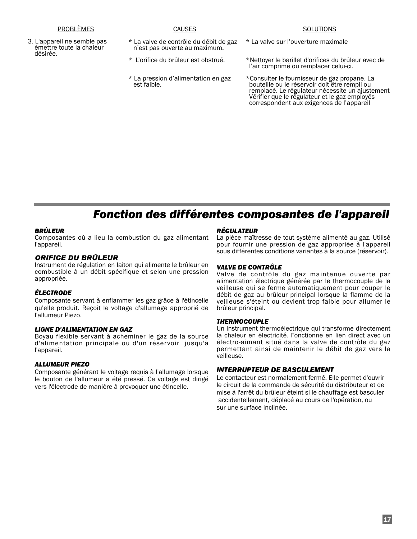3. L'appareil ne semble pas émettre toute la chaleur désirée.

**CAUSES** 

- \* La valve de contrôle du débit de gaz n'est pas ouverte au maximum.
- \* L'orifice du brûleur est obstrué.
- \* La pression d'alimentation en gaz est faible.
- \* La valve sur l'ouverture maximale
- \*Nettoyer le barillet d'orifices du brûleur avec de l'air comprimé ou remplacer celui-ci.
- \*Consulter le fournisseur de gaz propane. La bouteille ou le réservoir doit être rempli ou remplacé. Le régulateur nécessite un ajustement Vérifier que le régulateur et le gaz employés correspondent aux exigences de l'appareil

## *Fonction des différentes composantes de l'appareil*

#### *BRÛLEUR*

Composantes où a lieu la combustion du gaz alimentant l'appareil.

#### *ORIFICE DU BRÛLEUR*

Instrument de régulation en laiton qui alimente le brûleur en combustible à un débit spécifique et selon une pression appropriée.

#### *ÉLECTRODE*

Composante servant à enflammer les gaz grâce à l'étincelle qu'elle produit. Reçoit le voltage d'allumage approprié de l'allumeur Piezo.

#### *LIGNE D'ALIMENTATION EN GAZ*

Boyau flexible servant à acheminer le gaz de la source d'alimentation principale ou d'un réservoir jusqu'à l'appareil.

#### *ALLUMEUR PIEZO*

Composante générant le voltage requis à l'allumage lorsque le bouton de l'allumeur a été pressé. Ce voltage est dirigé vers l'électrode de manière à provoquer une étincelle.

#### *RÉGULATEUR*

La pièce maîtresse de tout système alimenté au gaz. Utilisé pour fournir une pression de gaz appropriée à l'appareil sous différentes conditions variantes à la source (réservoir).

#### *VALVE DE CONTRÔLE*

Valve de contrôle du gaz maintenue ouverte par alimentation électrique générée par le thermocouple de la veilleuse qui se ferme automatiquement pour couper le débit de gaz au brûleur principal lorsque la flamme de la veilleuse s'éteint ou devient trop faible pour allumer le brûleur principal.

#### *THERMOCOUPLE*

Un instrument thermoélectrique qui transforme directement la chaleur en électricité. Fonctionne en lien direct avec un électro-aimant situé dans la valve de contrôle du gaz permettant ainsi de maintenir le débit de gaz vers la veilleuse.

#### *INTERRUPTEUR DE BASCULEMENT*

Le contacteur est normalement fermé. Elle permet d'ouvrir le circuit de la commande de sécurité du distributeur et de mise à l'arrêt du brûleur éteint si le chauffage est basculer accidentellement, déplacé au cours de l'opération, ou sur une surface inclinée.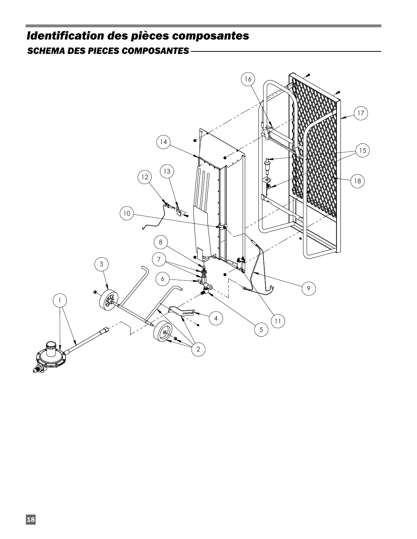## *Identification des pièces composantes SCHEMA DES PIECES COMPOSANTES*

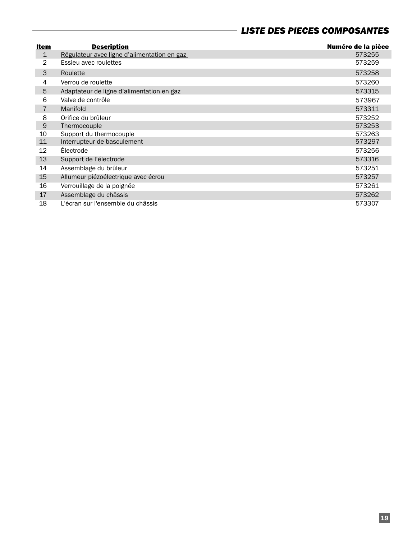### *LISTE DES PIECES COMPOSANTES*

| Item           | <b>Description</b>                          | Numéro de la pièce |
|----------------|---------------------------------------------|--------------------|
| $\mathbf{1}$   | Régulateur avec ligne d'alimentation en gaz | 573255             |
| $\overline{2}$ | Essieu avec roulettes                       | 573259             |
| 3              | Roulette                                    | 573258             |
| 4              | Verrou de roulette                          | 573260             |
| 5              | Adaptateur de ligne d'alimentation en gaz   | 573315             |
| 6              | Valve de contrôle                           | 573967             |
| $\overline{7}$ | Manifold                                    | 573311             |
| 8              | Orifice du brûleur                          | 573252             |
| 9              | Thermocouple                                | 573253             |
| 10             | Support du thermocouple                     | 573263             |
| 11             | Interrupteur de basculement                 | 573297             |
| 12             | Electrode                                   | 573256             |
| 13             | Support de l'électrode                      | 573316             |
| 14             | Assemblage du brûleur                       | 573251             |
| 15             | Allumeur piézoélectrique avec écrou         | 573257             |
| 16             | Verrouillage de la poignée                  | 573261             |
| 17             | Assemblage du châssis                       | 573262             |
| 18             | L'écran sur l'ensemble du châssis           | 573307             |